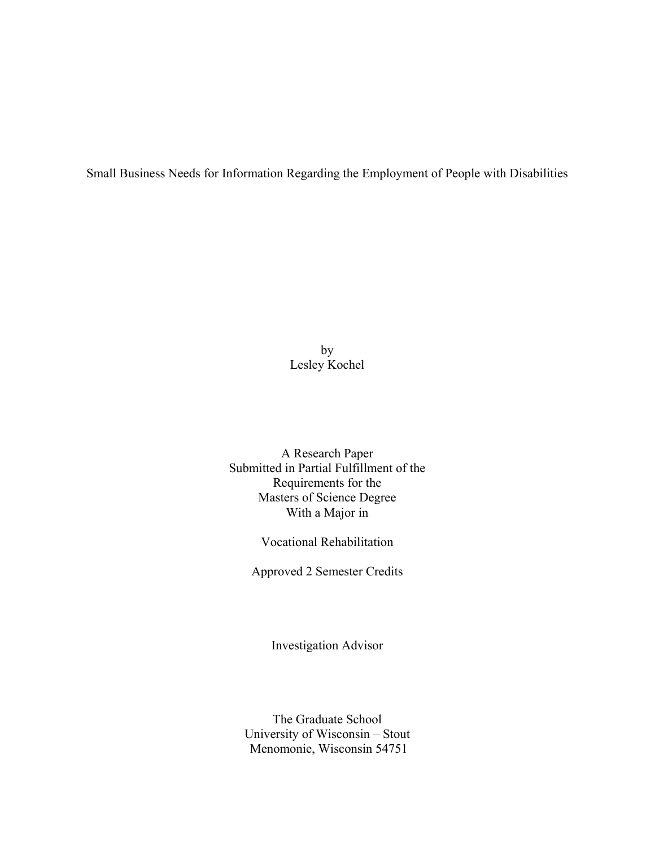Small Business Needs for Information Regarding the Employment of People with Disabilities

by Lesley Kochel

A Research Paper Submitted in Partial Fulfillment of the Requirements for the Masters of Science Degree With a Major in

Vocational Rehabilitation

Approved 2 Semester Credits

Investigation Advisor

The Graduate School University of Wisconsin – Stout Menomonie, Wisconsin 54751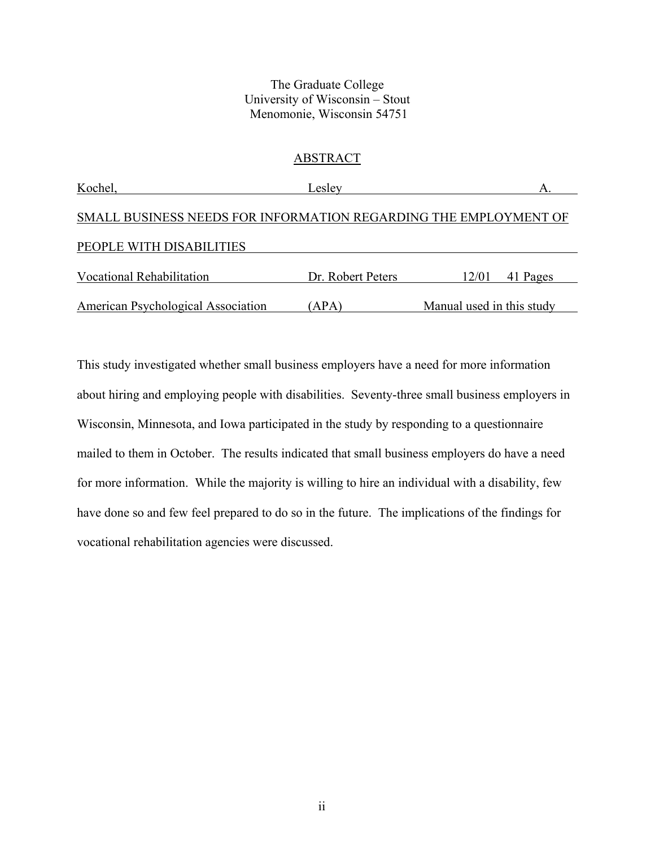# The Graduate College University of Wisconsin – Stout Menomonie, Wisconsin 54751

# ABSTRACT

| Kochel,                                                          | Leslev            |                           |
|------------------------------------------------------------------|-------------------|---------------------------|
| SMALL BUSINESS NEEDS FOR INFORMATION REGARDING THE EMPLOYMENT OF |                   |                           |
| PEOPLE WITH DISABILITIES                                         |                   |                           |
| <b>Vocational Rehabilitation</b>                                 | Dr. Robert Peters | 12/01<br>41 Pages         |
| American Psychological Association                               | (APA)             | Manual used in this study |

This study investigated whether small business employers have a need for more information about hiring and employing people with disabilities. Seventy-three small business employers in Wisconsin, Minnesota, and Iowa participated in the study by responding to a questionnaire mailed to them in October. The results indicated that small business employers do have a need for more information. While the majority is willing to hire an individual with a disability, few have done so and few feel prepared to do so in the future. The implications of the findings for vocational rehabilitation agencies were discussed.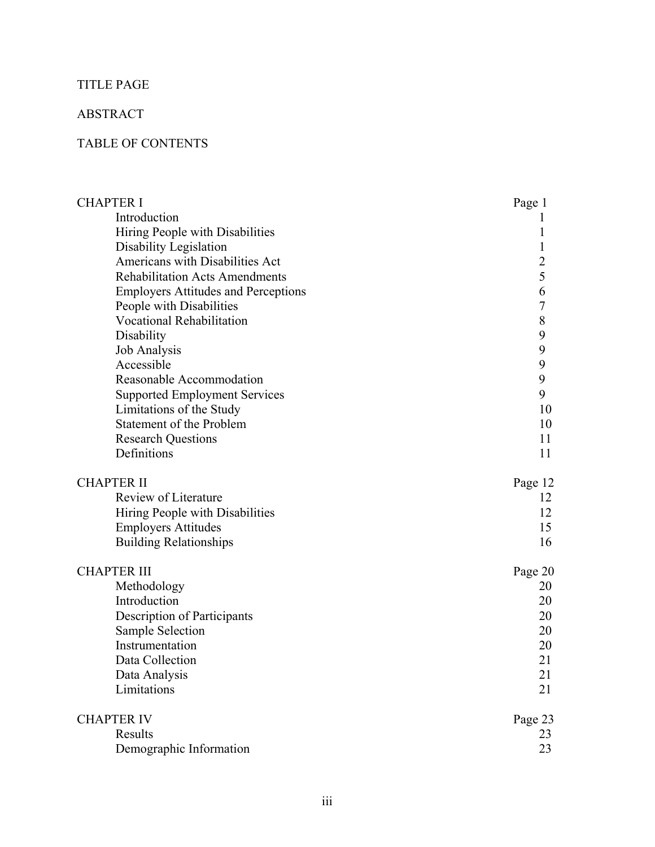# TITLE PAGE

# ABSTRACT

# TABLE OF CONTENTS

| Introduction<br>Hiring People with Disabilities<br>Disability Legislation<br>1<br>Americans with Disabilities Act<br>$\overline{c}$<br>5<br><b>Rehabilitation Acts Amendments</b><br>6<br><b>Employers Attitudes and Perceptions</b><br>$\overline{7}$<br>People with Disabilities<br>$\,$ 8 $\,$<br>Vocational Rehabilitation<br>9<br>Disability<br>9<br><b>Job Analysis</b><br>9<br>Accessible<br>9<br>Reasonable Accommodation<br>9<br><b>Supported Employment Services</b><br>Limitations of the Study<br>10<br>Statement of the Problem<br>10<br><b>Research Questions</b><br>11<br>Definitions<br>11<br><b>CHAPTER II</b><br>Page 12<br>Review of Literature<br>12<br>Hiring People with Disabilities<br>12<br><b>Employers Attitudes</b><br>15<br><b>Building Relationships</b><br>16<br><b>CHAPTER III</b><br>Page 20<br>Methodology<br>20<br>Introduction<br>20<br>Description of Participants<br>20<br><b>Sample Selection</b><br>20<br>Instrumentation<br>20<br>Data Collection<br>21<br>21<br>Data Analysis<br>Limitations<br>21<br><b>CHAPTER IV</b><br>Page 23<br>Results<br>23 | <b>CHAPTER I</b>        | Page 1 |
|-----------------------------------------------------------------------------------------------------------------------------------------------------------------------------------------------------------------------------------------------------------------------------------------------------------------------------------------------------------------------------------------------------------------------------------------------------------------------------------------------------------------------------------------------------------------------------------------------------------------------------------------------------------------------------------------------------------------------------------------------------------------------------------------------------------------------------------------------------------------------------------------------------------------------------------------------------------------------------------------------------------------------------------------------------------------------------------------------|-------------------------|--------|
|                                                                                                                                                                                                                                                                                                                                                                                                                                                                                                                                                                                                                                                                                                                                                                                                                                                                                                                                                                                                                                                                                               |                         |        |
|                                                                                                                                                                                                                                                                                                                                                                                                                                                                                                                                                                                                                                                                                                                                                                                                                                                                                                                                                                                                                                                                                               |                         |        |
|                                                                                                                                                                                                                                                                                                                                                                                                                                                                                                                                                                                                                                                                                                                                                                                                                                                                                                                                                                                                                                                                                               |                         |        |
|                                                                                                                                                                                                                                                                                                                                                                                                                                                                                                                                                                                                                                                                                                                                                                                                                                                                                                                                                                                                                                                                                               |                         |        |
|                                                                                                                                                                                                                                                                                                                                                                                                                                                                                                                                                                                                                                                                                                                                                                                                                                                                                                                                                                                                                                                                                               |                         |        |
|                                                                                                                                                                                                                                                                                                                                                                                                                                                                                                                                                                                                                                                                                                                                                                                                                                                                                                                                                                                                                                                                                               |                         |        |
|                                                                                                                                                                                                                                                                                                                                                                                                                                                                                                                                                                                                                                                                                                                                                                                                                                                                                                                                                                                                                                                                                               |                         |        |
|                                                                                                                                                                                                                                                                                                                                                                                                                                                                                                                                                                                                                                                                                                                                                                                                                                                                                                                                                                                                                                                                                               |                         |        |
|                                                                                                                                                                                                                                                                                                                                                                                                                                                                                                                                                                                                                                                                                                                                                                                                                                                                                                                                                                                                                                                                                               |                         |        |
|                                                                                                                                                                                                                                                                                                                                                                                                                                                                                                                                                                                                                                                                                                                                                                                                                                                                                                                                                                                                                                                                                               |                         |        |
|                                                                                                                                                                                                                                                                                                                                                                                                                                                                                                                                                                                                                                                                                                                                                                                                                                                                                                                                                                                                                                                                                               |                         |        |
|                                                                                                                                                                                                                                                                                                                                                                                                                                                                                                                                                                                                                                                                                                                                                                                                                                                                                                                                                                                                                                                                                               |                         |        |
|                                                                                                                                                                                                                                                                                                                                                                                                                                                                                                                                                                                                                                                                                                                                                                                                                                                                                                                                                                                                                                                                                               |                         |        |
|                                                                                                                                                                                                                                                                                                                                                                                                                                                                                                                                                                                                                                                                                                                                                                                                                                                                                                                                                                                                                                                                                               |                         |        |
|                                                                                                                                                                                                                                                                                                                                                                                                                                                                                                                                                                                                                                                                                                                                                                                                                                                                                                                                                                                                                                                                                               |                         |        |
|                                                                                                                                                                                                                                                                                                                                                                                                                                                                                                                                                                                                                                                                                                                                                                                                                                                                                                                                                                                                                                                                                               |                         |        |
|                                                                                                                                                                                                                                                                                                                                                                                                                                                                                                                                                                                                                                                                                                                                                                                                                                                                                                                                                                                                                                                                                               |                         |        |
|                                                                                                                                                                                                                                                                                                                                                                                                                                                                                                                                                                                                                                                                                                                                                                                                                                                                                                                                                                                                                                                                                               |                         |        |
|                                                                                                                                                                                                                                                                                                                                                                                                                                                                                                                                                                                                                                                                                                                                                                                                                                                                                                                                                                                                                                                                                               |                         |        |
|                                                                                                                                                                                                                                                                                                                                                                                                                                                                                                                                                                                                                                                                                                                                                                                                                                                                                                                                                                                                                                                                                               |                         |        |
|                                                                                                                                                                                                                                                                                                                                                                                                                                                                                                                                                                                                                                                                                                                                                                                                                                                                                                                                                                                                                                                                                               |                         |        |
|                                                                                                                                                                                                                                                                                                                                                                                                                                                                                                                                                                                                                                                                                                                                                                                                                                                                                                                                                                                                                                                                                               |                         |        |
|                                                                                                                                                                                                                                                                                                                                                                                                                                                                                                                                                                                                                                                                                                                                                                                                                                                                                                                                                                                                                                                                                               |                         |        |
|                                                                                                                                                                                                                                                                                                                                                                                                                                                                                                                                                                                                                                                                                                                                                                                                                                                                                                                                                                                                                                                                                               |                         |        |
|                                                                                                                                                                                                                                                                                                                                                                                                                                                                                                                                                                                                                                                                                                                                                                                                                                                                                                                                                                                                                                                                                               |                         |        |
|                                                                                                                                                                                                                                                                                                                                                                                                                                                                                                                                                                                                                                                                                                                                                                                                                                                                                                                                                                                                                                                                                               |                         |        |
|                                                                                                                                                                                                                                                                                                                                                                                                                                                                                                                                                                                                                                                                                                                                                                                                                                                                                                                                                                                                                                                                                               |                         |        |
|                                                                                                                                                                                                                                                                                                                                                                                                                                                                                                                                                                                                                                                                                                                                                                                                                                                                                                                                                                                                                                                                                               |                         |        |
|                                                                                                                                                                                                                                                                                                                                                                                                                                                                                                                                                                                                                                                                                                                                                                                                                                                                                                                                                                                                                                                                                               |                         |        |
|                                                                                                                                                                                                                                                                                                                                                                                                                                                                                                                                                                                                                                                                                                                                                                                                                                                                                                                                                                                                                                                                                               |                         |        |
|                                                                                                                                                                                                                                                                                                                                                                                                                                                                                                                                                                                                                                                                                                                                                                                                                                                                                                                                                                                                                                                                                               |                         |        |
|                                                                                                                                                                                                                                                                                                                                                                                                                                                                                                                                                                                                                                                                                                                                                                                                                                                                                                                                                                                                                                                                                               |                         |        |
|                                                                                                                                                                                                                                                                                                                                                                                                                                                                                                                                                                                                                                                                                                                                                                                                                                                                                                                                                                                                                                                                                               |                         |        |
|                                                                                                                                                                                                                                                                                                                                                                                                                                                                                                                                                                                                                                                                                                                                                                                                                                                                                                                                                                                                                                                                                               |                         |        |
|                                                                                                                                                                                                                                                                                                                                                                                                                                                                                                                                                                                                                                                                                                                                                                                                                                                                                                                                                                                                                                                                                               |                         |        |
|                                                                                                                                                                                                                                                                                                                                                                                                                                                                                                                                                                                                                                                                                                                                                                                                                                                                                                                                                                                                                                                                                               | Demographic Information | 23     |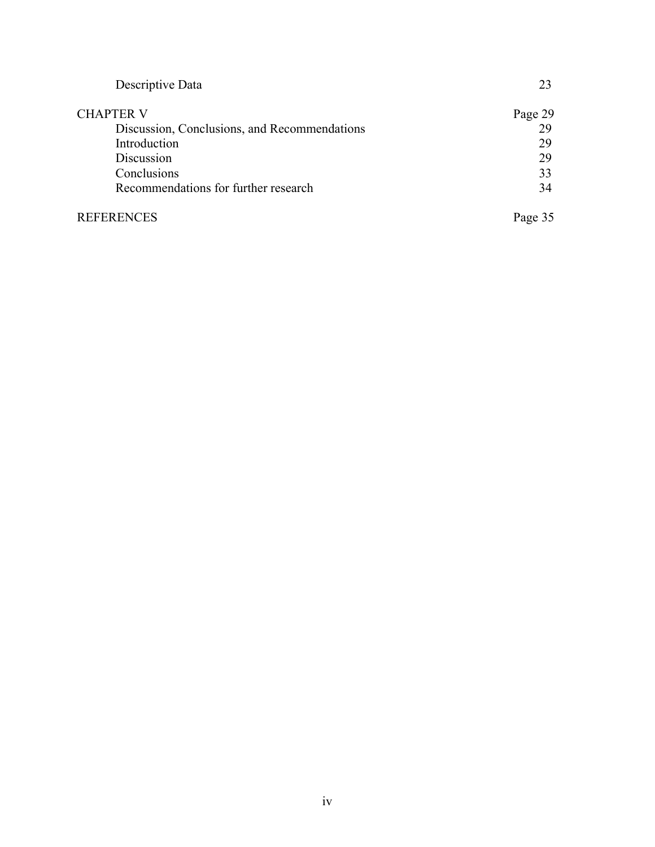| Descriptive Data                             | 23      |
|----------------------------------------------|---------|
| <b>CHAPTER V</b>                             | Page 29 |
| Discussion, Conclusions, and Recommendations | 29      |
| Introduction                                 | 29      |
| Discussion                                   | 29      |
| Conclusions                                  | 33      |
| Recommendations for further research         | 34      |
| <b>REFERENCES</b>                            | Page 35 |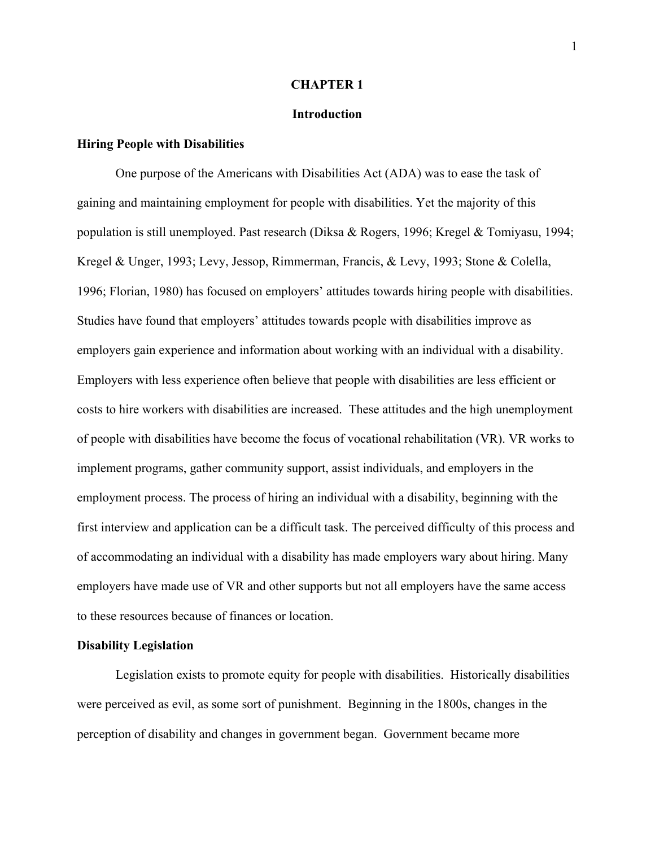#### **CHAPTER 1**

#### **Introduction**

#### **Hiring People with Disabilities**

One purpose of the Americans with Disabilities Act (ADA) was to ease the task of gaining and maintaining employment for people with disabilities. Yet the majority of this population is still unemployed. Past research (Diksa & Rogers, 1996; Kregel & Tomiyasu, 1994; Kregel & Unger, 1993; Levy, Jessop, Rimmerman, Francis, & Levy, 1993; Stone & Colella, 1996; Florian, 1980) has focused on employers' attitudes towards hiring people with disabilities. Studies have found that employers' attitudes towards people with disabilities improve as employers gain experience and information about working with an individual with a disability. Employers with less experience often believe that people with disabilities are less efficient or costs to hire workers with disabilities are increased. These attitudes and the high unemployment of people with disabilities have become the focus of vocational rehabilitation (VR). VR works to implement programs, gather community support, assist individuals, and employers in the employment process. The process of hiring an individual with a disability, beginning with the first interview and application can be a difficult task. The perceived difficulty of this process and of accommodating an individual with a disability has made employers wary about hiring. Many employers have made use of VR and other supports but not all employers have the same access to these resources because of finances or location.

#### **Disability Legislation**

Legislation exists to promote equity for people with disabilities. Historically disabilities were perceived as evil, as some sort of punishment. Beginning in the 1800s, changes in the perception of disability and changes in government began. Government became more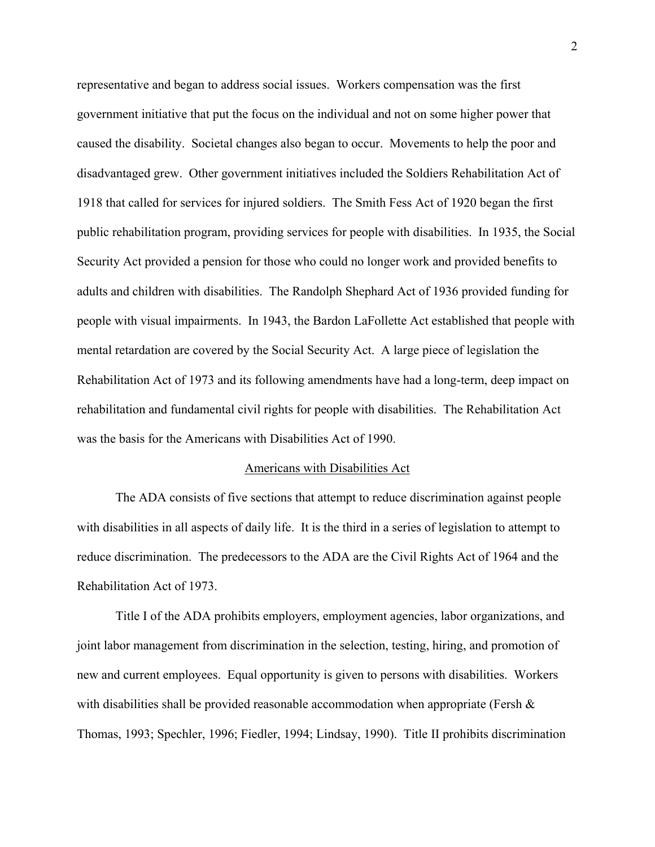representative and began to address social issues. Workers compensation was the first government initiative that put the focus on the individual and not on some higher power that caused the disability. Societal changes also began to occur. Movements to help the poor and disadvantaged grew. Other government initiatives included the Soldiers Rehabilitation Act of 1918 that called for services for injured soldiers. The Smith Fess Act of 1920 began the first public rehabilitation program, providing services for people with disabilities. In 1935, the Social Security Act provided a pension for those who could no longer work and provided benefits to adults and children with disabilities. The Randolph Shephard Act of 1936 provided funding for people with visual impairments. In 1943, the Bardon LaFollette Act established that people with mental retardation are covered by the Social Security Act. A large piece of legislation the Rehabilitation Act of 1973 and its following amendments have had a long-term, deep impact on rehabilitation and fundamental civil rights for people with disabilities. The Rehabilitation Act was the basis for the Americans with Disabilities Act of 1990.

#### Americans with Disabilities Act

The ADA consists of five sections that attempt to reduce discrimination against people with disabilities in all aspects of daily life. It is the third in a series of legislation to attempt to reduce discrimination. The predecessors to the ADA are the Civil Rights Act of 1964 and the Rehabilitation Act of 1973.

Title I of the ADA prohibits employers, employment agencies, labor organizations, and joint labor management from discrimination in the selection, testing, hiring, and promotion of new and current employees. Equal opportunity is given to persons with disabilities. Workers with disabilities shall be provided reasonable accommodation when appropriate (Fersh  $\&$ Thomas, 1993; Spechler, 1996; Fiedler, 1994; Lindsay, 1990). Title II prohibits discrimination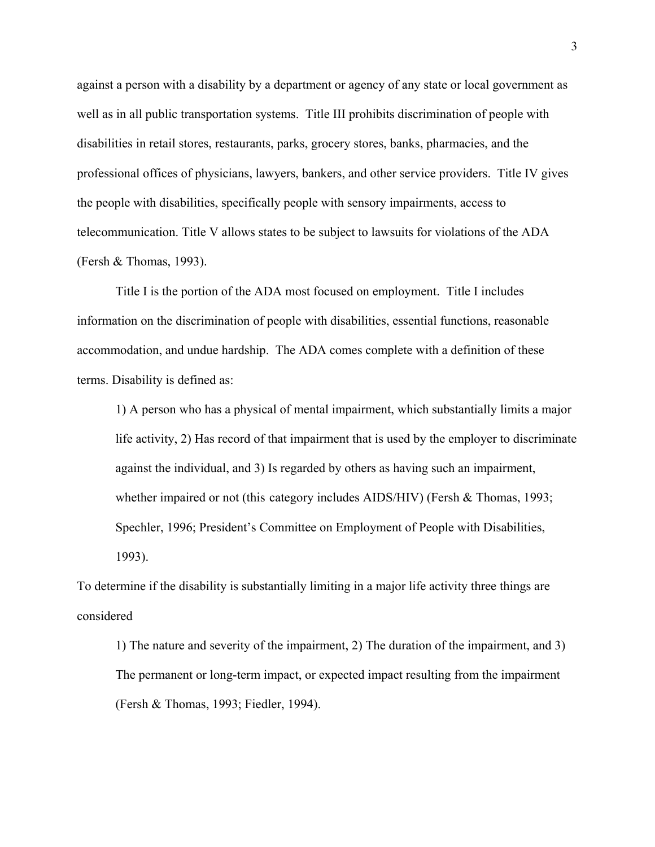against a person with a disability by a department or agency of any state or local government as well as in all public transportation systems. Title III prohibits discrimination of people with disabilities in retail stores, restaurants, parks, grocery stores, banks, pharmacies, and the professional offices of physicians, lawyers, bankers, and other service providers. Title IV gives the people with disabilities, specifically people with sensory impairments, access to telecommunication. Title V allows states to be subject to lawsuits for violations of the ADA (Fersh & Thomas, 1993).

Title I is the portion of the ADA most focused on employment. Title I includes information on the discrimination of people with disabilities, essential functions, reasonable accommodation, and undue hardship. The ADA comes complete with a definition of these terms. Disability is defined as:

1) A person who has a physical of mental impairment, which substantially limits a major life activity, 2) Has record of that impairment that is used by the employer to discriminate against the individual, and 3) Is regarded by others as having such an impairment, whether impaired or not (this category includes AIDS/HIV) (Fersh & Thomas, 1993; Spechler, 1996; President's Committee on Employment of People with Disabilities, 1993).

To determine if the disability is substantially limiting in a major life activity three things are considered

1) The nature and severity of the impairment, 2) The duration of the impairment, and 3) The permanent or long-term impact, or expected impact resulting from the impairment (Fersh & Thomas, 1993; Fiedler, 1994).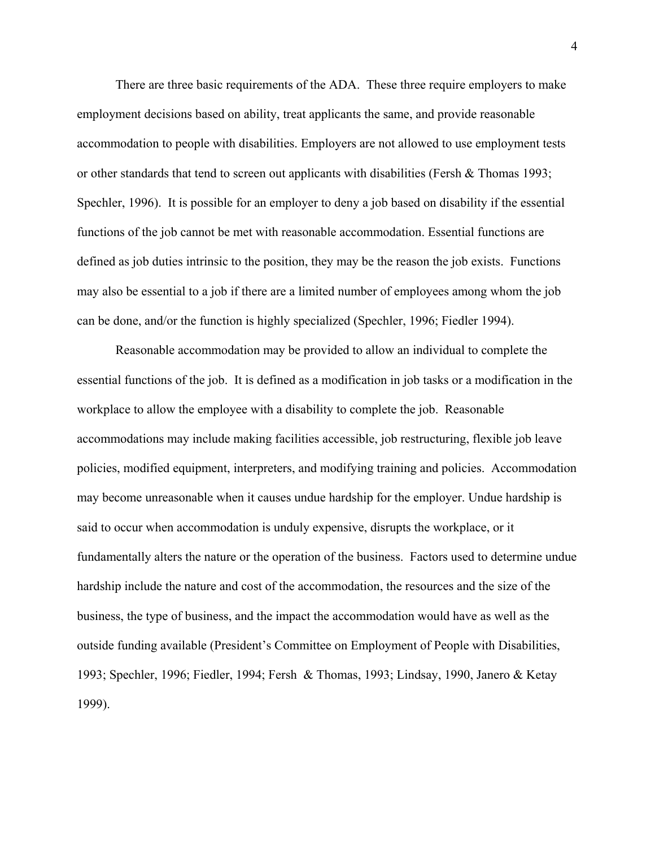There are three basic requirements of the ADA. These three require employers to make employment decisions based on ability, treat applicants the same, and provide reasonable accommodation to people with disabilities. Employers are not allowed to use employment tests or other standards that tend to screen out applicants with disabilities (Fersh & Thomas 1993; Spechler, 1996). It is possible for an employer to deny a job based on disability if the essential functions of the job cannot be met with reasonable accommodation. Essential functions are defined as job duties intrinsic to the position, they may be the reason the job exists. Functions may also be essential to a job if there are a limited number of employees among whom the job can be done, and/or the function is highly specialized (Spechler, 1996; Fiedler 1994).

Reasonable accommodation may be provided to allow an individual to complete the essential functions of the job. It is defined as a modification in job tasks or a modification in the workplace to allow the employee with a disability to complete the job. Reasonable accommodations may include making facilities accessible, job restructuring, flexible job leave policies, modified equipment, interpreters, and modifying training and policies. Accommodation may become unreasonable when it causes undue hardship for the employer. Undue hardship is said to occur when accommodation is unduly expensive, disrupts the workplace, or it fundamentally alters the nature or the operation of the business. Factors used to determine undue hardship include the nature and cost of the accommodation, the resources and the size of the business, the type of business, and the impact the accommodation would have as well as the outside funding available (President's Committee on Employment of People with Disabilities, 1993; Spechler, 1996; Fiedler, 1994; Fersh & Thomas, 1993; Lindsay, 1990, Janero & Ketay 1999).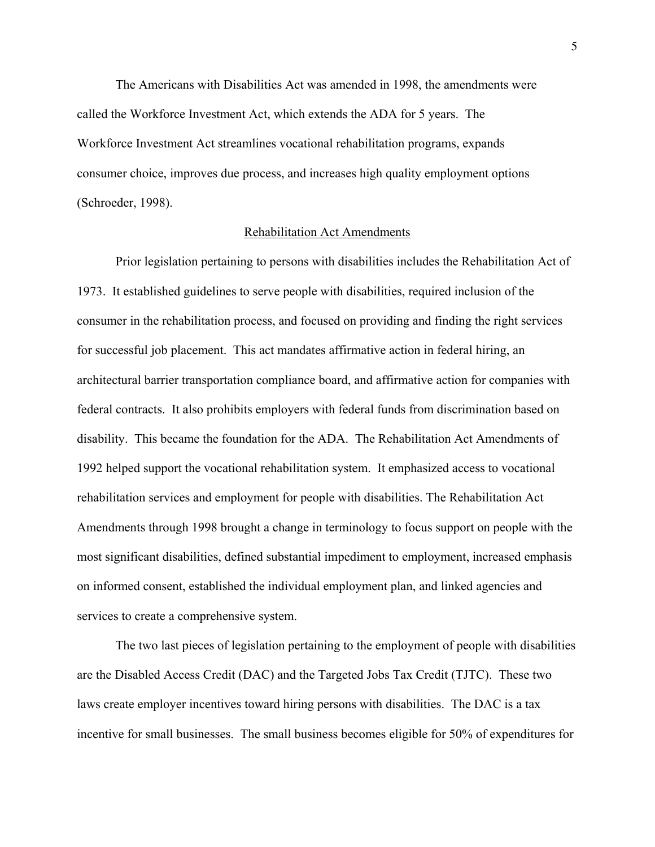The Americans with Disabilities Act was amended in 1998, the amendments were called the Workforce Investment Act, which extends the ADA for 5 years. The Workforce Investment Act streamlines vocational rehabilitation programs, expands consumer choice, improves due process, and increases high quality employment options (Schroeder, 1998).

#### Rehabilitation Act Amendments

Prior legislation pertaining to persons with disabilities includes the Rehabilitation Act of 1973. It established guidelines to serve people with disabilities, required inclusion of the consumer in the rehabilitation process, and focused on providing and finding the right services for successful job placement. This act mandates affirmative action in federal hiring, an architectural barrier transportation compliance board, and affirmative action for companies with federal contracts. It also prohibits employers with federal funds from discrimination based on disability. This became the foundation for the ADA. The Rehabilitation Act Amendments of 1992 helped support the vocational rehabilitation system. It emphasized access to vocational rehabilitation services and employment for people with disabilities. The Rehabilitation Act Amendments through 1998 brought a change in terminology to focus support on people with the most significant disabilities, defined substantial impediment to employment, increased emphasis on informed consent, established the individual employment plan, and linked agencies and services to create a comprehensive system.

The two last pieces of legislation pertaining to the employment of people with disabilities are the Disabled Access Credit (DAC) and the Targeted Jobs Tax Credit (TJTC). These two laws create employer incentives toward hiring persons with disabilities. The DAC is a tax incentive for small businesses. The small business becomes eligible for 50% of expenditures for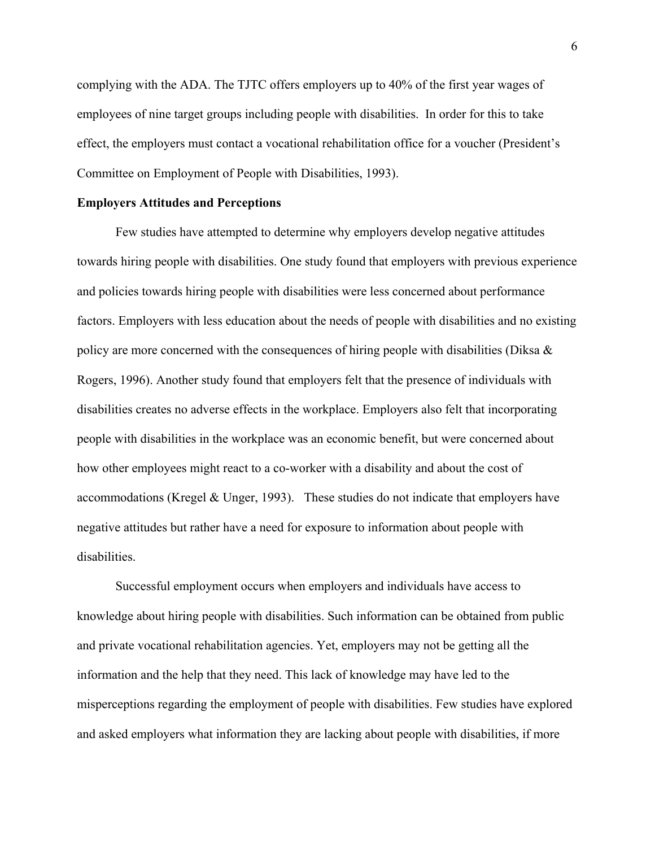complying with the ADA. The TJTC offers employers up to 40% of the first year wages of employees of nine target groups including people with disabilities. In order for this to take effect, the employers must contact a vocational rehabilitation office for a voucher (President's Committee on Employment of People with Disabilities, 1993).

#### **Employers Attitudes and Perceptions**

Few studies have attempted to determine why employers develop negative attitudes towards hiring people with disabilities. One study found that employers with previous experience and policies towards hiring people with disabilities were less concerned about performance factors. Employers with less education about the needs of people with disabilities and no existing policy are more concerned with the consequences of hiring people with disabilities (Diksa  $\&$ Rogers, 1996). Another study found that employers felt that the presence of individuals with disabilities creates no adverse effects in the workplace. Employers also felt that incorporating people with disabilities in the workplace was an economic benefit, but were concerned about how other employees might react to a co-worker with a disability and about the cost of accommodations (Kregel & Unger, 1993). These studies do not indicate that employers have negative attitudes but rather have a need for exposure to information about people with disabilities.

Successful employment occurs when employers and individuals have access to knowledge about hiring people with disabilities. Such information can be obtained from public and private vocational rehabilitation agencies. Yet, employers may not be getting all the information and the help that they need. This lack of knowledge may have led to the misperceptions regarding the employment of people with disabilities. Few studies have explored and asked employers what information they are lacking about people with disabilities, if more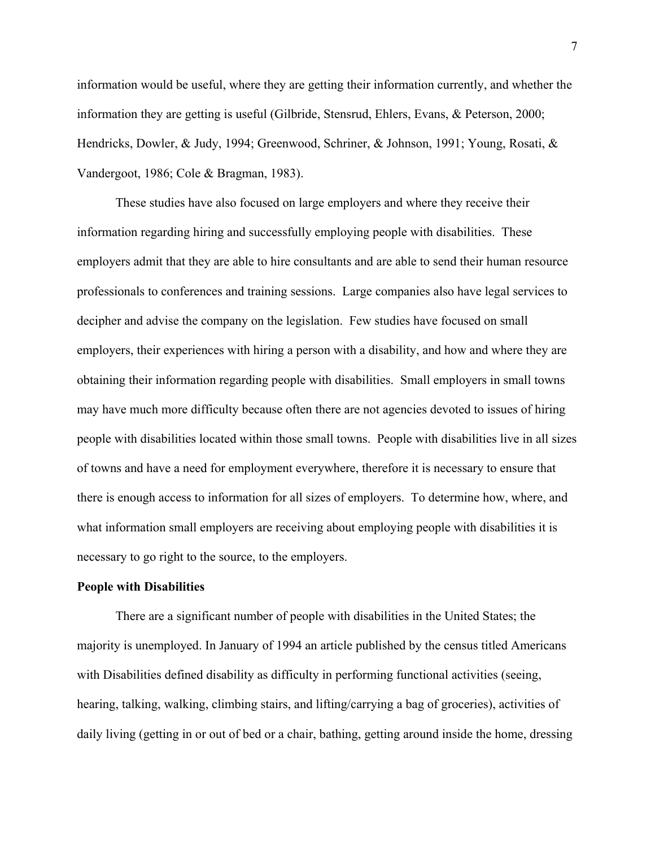information would be useful, where they are getting their information currently, and whether the information they are getting is useful (Gilbride, Stensrud, Ehlers, Evans, & Peterson, 2000; Hendricks, Dowler, & Judy, 1994; Greenwood, Schriner, & Johnson, 1991; Young, Rosati, & Vandergoot, 1986; Cole & Bragman, 1983).

These studies have also focused on large employers and where they receive their information regarding hiring and successfully employing people with disabilities. These employers admit that they are able to hire consultants and are able to send their human resource professionals to conferences and training sessions. Large companies also have legal services to decipher and advise the company on the legislation. Few studies have focused on small employers, their experiences with hiring a person with a disability, and how and where they are obtaining their information regarding people with disabilities. Small employers in small towns may have much more difficulty because often there are not agencies devoted to issues of hiring people with disabilities located within those small towns. People with disabilities live in all sizes of towns and have a need for employment everywhere, therefore it is necessary to ensure that there is enough access to information for all sizes of employers. To determine how, where, and what information small employers are receiving about employing people with disabilities it is necessary to go right to the source, to the employers.

#### **People with Disabilities**

There are a significant number of people with disabilities in the United States; the majority is unemployed. In January of 1994 an article published by the census titled Americans with Disabilities defined disability as difficulty in performing functional activities (seeing, hearing, talking, walking, climbing stairs, and lifting/carrying a bag of groceries), activities of daily living (getting in or out of bed or a chair, bathing, getting around inside the home, dressing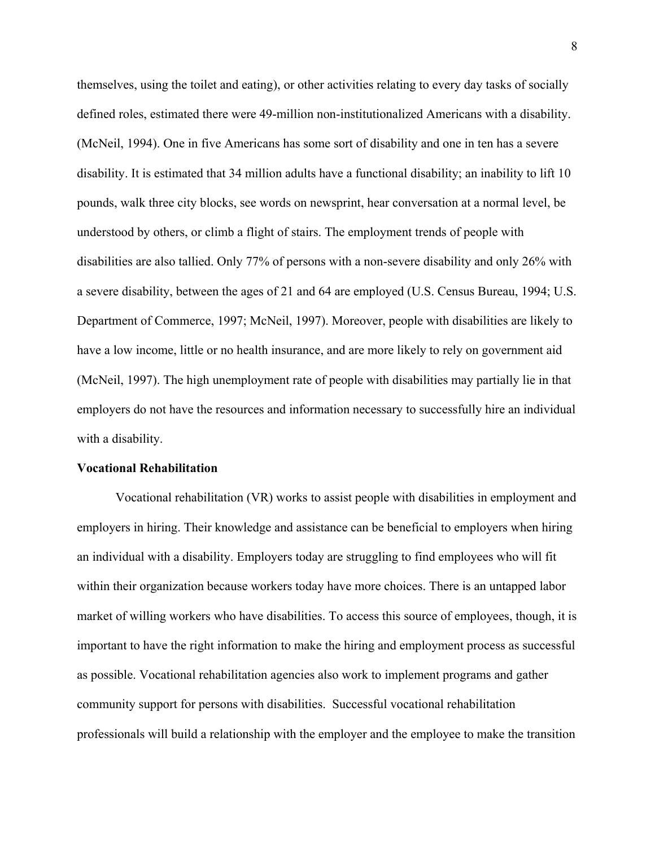themselves, using the toilet and eating), or other activities relating to every day tasks of socially defined roles, estimated there were 49-million non-institutionalized Americans with a disability. (McNeil, 1994). One in five Americans has some sort of disability and one in ten has a severe disability. It is estimated that 34 million adults have a functional disability; an inability to lift 10 pounds, walk three city blocks, see words on newsprint, hear conversation at a normal level, be understood by others, or climb a flight of stairs. The employment trends of people with disabilities are also tallied. Only 77% of persons with a non-severe disability and only 26% with a severe disability, between the ages of 21 and 64 are employed (U.S. Census Bureau, 1994; U.S. Department of Commerce, 1997; McNeil, 1997). Moreover, people with disabilities are likely to have a low income, little or no health insurance, and are more likely to rely on government aid (McNeil, 1997). The high unemployment rate of people with disabilities may partially lie in that employers do not have the resources and information necessary to successfully hire an individual with a disability.

#### **Vocational Rehabilitation**

Vocational rehabilitation (VR) works to assist people with disabilities in employment and employers in hiring. Their knowledge and assistance can be beneficial to employers when hiring an individual with a disability. Employers today are struggling to find employees who will fit within their organization because workers today have more choices. There is an untapped labor market of willing workers who have disabilities. To access this source of employees, though, it is important to have the right information to make the hiring and employment process as successful as possible. Vocational rehabilitation agencies also work to implement programs and gather community support for persons with disabilities. Successful vocational rehabilitation professionals will build a relationship with the employer and the employee to make the transition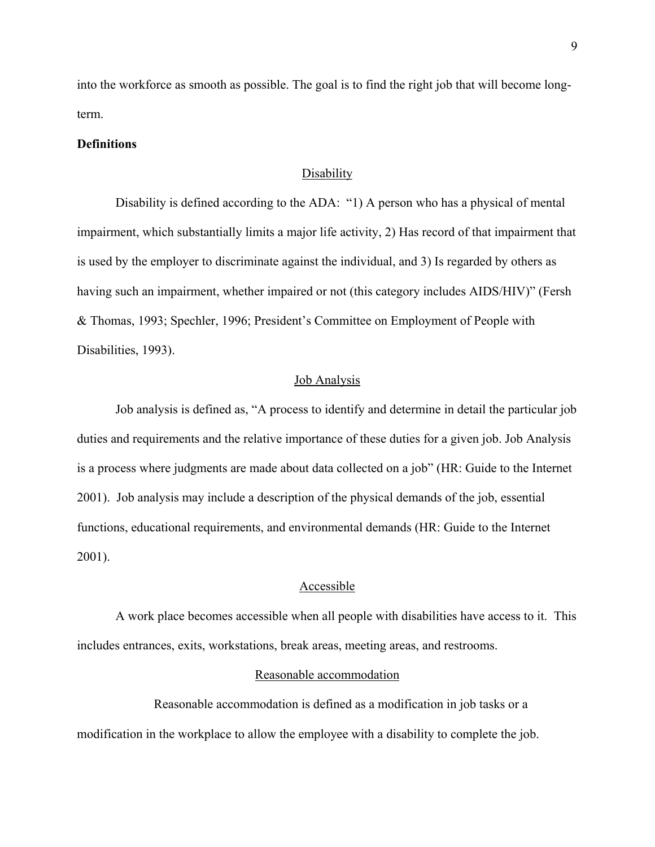into the workforce as smooth as possible. The goal is to find the right job that will become longterm.

#### **Definitions**

### Disability

Disability is defined according to the ADA: "1) A person who has a physical of mental impairment, which substantially limits a major life activity, 2) Has record of that impairment that is used by the employer to discriminate against the individual, and 3) Is regarded by others as having such an impairment, whether impaired or not (this category includes AIDS/HIV)" (Fersh & Thomas, 1993; Spechler, 1996; President's Committee on Employment of People with Disabilities, 1993).

#### Job Analysis

Job analysis is defined as, "A process to identify and determine in detail the particular job duties and requirements and the relative importance of these duties for a given job. Job Analysis is a process where judgments are made about data collected on a job" (HR: Guide to the Internet 2001). Job analysis may include a description of the physical demands of the job, essential functions, educational requirements, and environmental demands (HR: Guide to the Internet 2001).

#### Accessible

A work place becomes accessible when all people with disabilities have access to it. This includes entrances, exits, workstations, break areas, meeting areas, and restrooms.

#### Reasonable accommodation

Reasonable accommodation is defined as a modification in job tasks or a modification in the workplace to allow the employee with a disability to complete the job.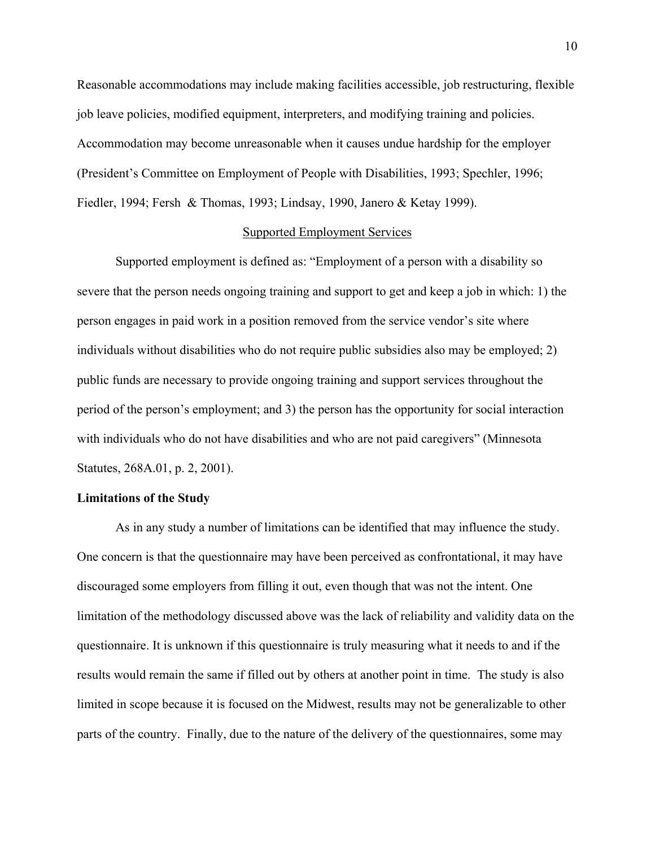Reasonable accommodations may include making facilities accessible, job restructuring, flexible job leave policies, modified equipment, interpreters, and modifying training and policies. Accommodation may become unreasonable when it causes undue hardship for the employer (President's Committee on Employment of People with Disabilities, 1993; Spechler, 1996; Fiedler, 1994; Fersh & Thomas, 1993; Lindsay, 1990, Janero & Ketay 1999).

#### Supported Employment Services

Supported employment is defined as: "Employment of a person with a disability so severe that the person needs ongoing training and support to get and keep a job in which: 1) the person engages in paid work in a position removed from the service vendor's site where individuals without disabilities who do not require public subsidies also may be employed; 2) public funds are necessary to provide ongoing training and support services throughout the period of the person's employment; and 3) the person has the opportunity for social interaction with individuals who do not have disabilities and who are not paid caregivers" (Minnesota Statutes, 268A.01, p. 2, 2001).

## **Limitations of the Study**

As in any study a number of limitations can be identified that may influence the study. One concern is that the questionnaire may have been perceived as confrontational, it may have discouraged some employers from filling it out, even though that was not the intent. One limitation of the methodology discussed above was the lack of reliability and validity data on the questionnaire. It is unknown if this questionnaire is truly measuring what it needs to and if the results would remain the same if filled out by others at another point in time. The study is also limited in scope because it is focused on the Midwest, results may not be generalizable to other parts of the country. Finally, due to the nature of the delivery of the questionnaires, some may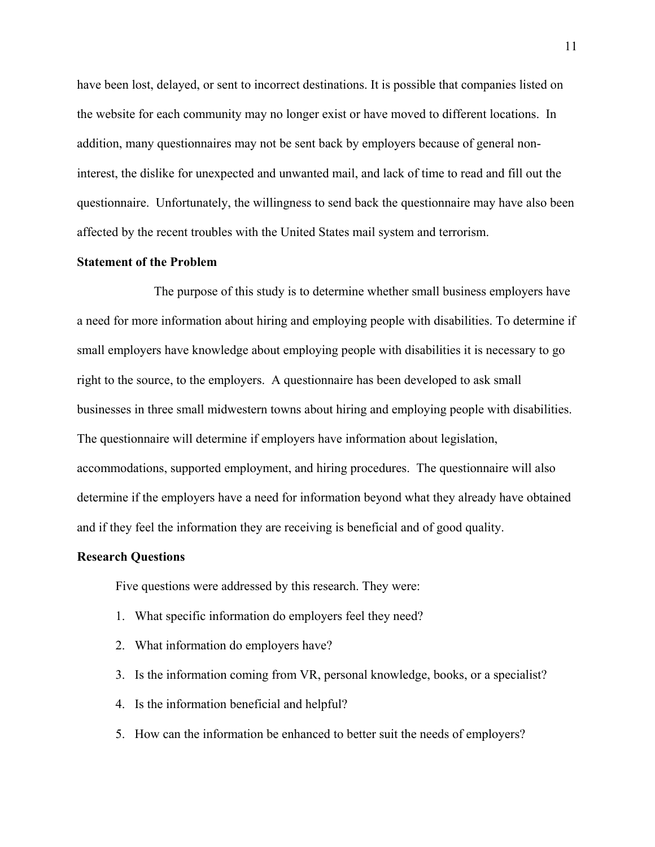have been lost, delayed, or sent to incorrect destinations. It is possible that companies listed on the website for each community may no longer exist or have moved to different locations. In addition, many questionnaires may not be sent back by employers because of general noninterest, the dislike for unexpected and unwanted mail, and lack of time to read and fill out the questionnaire. Unfortunately, the willingness to send back the questionnaire may have also been affected by the recent troubles with the United States mail system and terrorism.

# **Statement of the Problem**

The purpose of this study is to determine whether small business employers have a need for more information about hiring and employing people with disabilities. To determine if small employers have knowledge about employing people with disabilities it is necessary to go right to the source, to the employers. A questionnaire has been developed to ask small businesses in three small midwestern towns about hiring and employing people with disabilities. The questionnaire will determine if employers have information about legislation, accommodations, supported employment, and hiring procedures. The questionnaire will also determine if the employers have a need for information beyond what they already have obtained and if they feel the information they are receiving is beneficial and of good quality.

#### **Research Questions**

Five questions were addressed by this research. They were:

- 1. What specific information do employers feel they need?
- 2. What information do employers have?
- 3. Is the information coming from VR, personal knowledge, books, or a specialist?
- 4. Is the information beneficial and helpful?
- 5. How can the information be enhanced to better suit the needs of employers?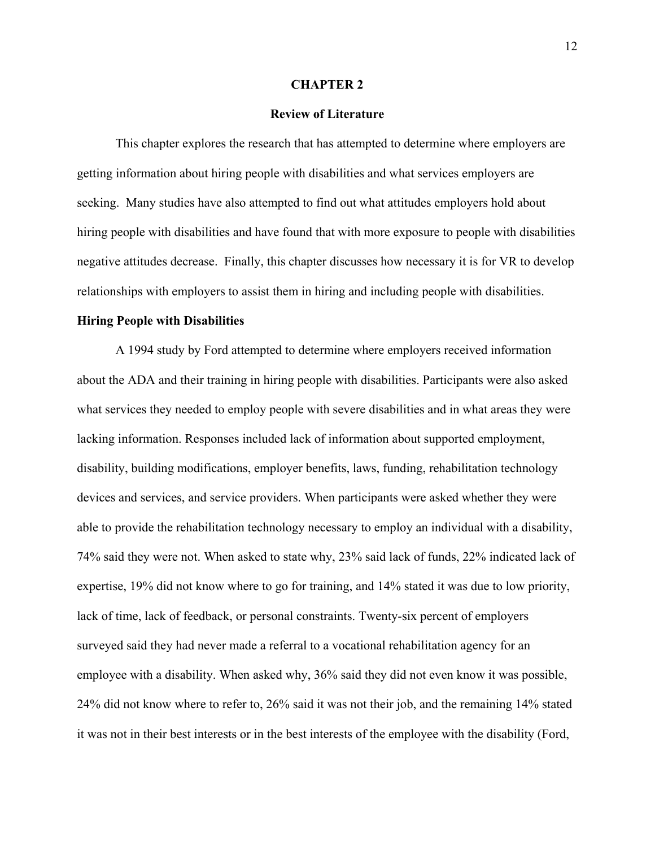#### **CHAPTER 2**

# **Review of Literature**

This chapter explores the research that has attempted to determine where employers are getting information about hiring people with disabilities and what services employers are seeking. Many studies have also attempted to find out what attitudes employers hold about hiring people with disabilities and have found that with more exposure to people with disabilities negative attitudes decrease. Finally, this chapter discusses how necessary it is for VR to develop relationships with employers to assist them in hiring and including people with disabilities.

#### **Hiring People with Disabilities**

A 1994 study by Ford attempted to determine where employers received information about the ADA and their training in hiring people with disabilities. Participants were also asked what services they needed to employ people with severe disabilities and in what areas they were lacking information. Responses included lack of information about supported employment, disability, building modifications, employer benefits, laws, funding, rehabilitation technology devices and services, and service providers. When participants were asked whether they were able to provide the rehabilitation technology necessary to employ an individual with a disability, 74% said they were not. When asked to state why, 23% said lack of funds, 22% indicated lack of expertise, 19% did not know where to go for training, and 14% stated it was due to low priority, lack of time, lack of feedback, or personal constraints. Twenty-six percent of employers surveyed said they had never made a referral to a vocational rehabilitation agency for an employee with a disability. When asked why, 36% said they did not even know it was possible, 24% did not know where to refer to, 26% said it was not their job, and the remaining 14% stated it was not in their best interests or in the best interests of the employee with the disability (Ford,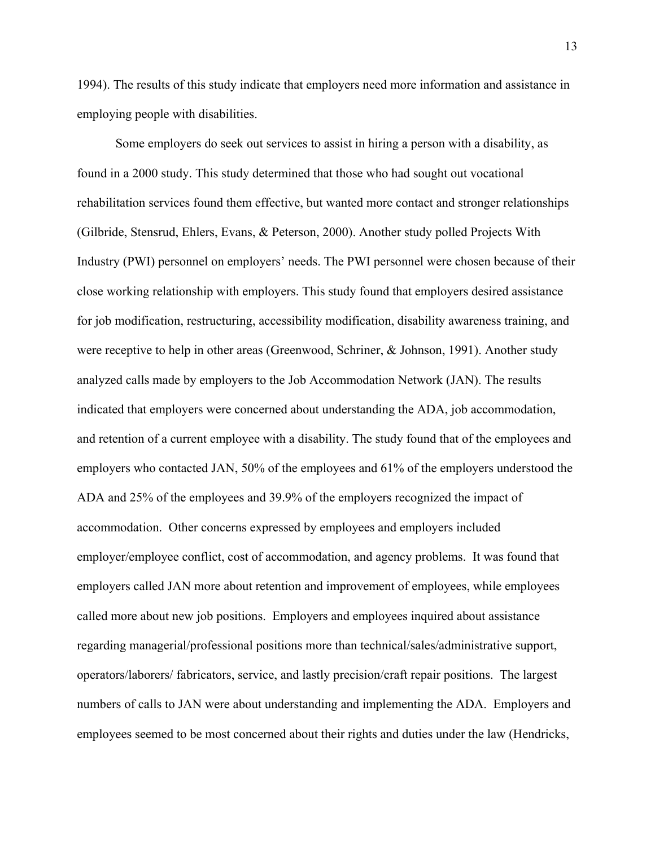1994). The results of this study indicate that employers need more information and assistance in employing people with disabilities.

Some employers do seek out services to assist in hiring a person with a disability, as found in a 2000 study. This study determined that those who had sought out vocational rehabilitation services found them effective, but wanted more contact and stronger relationships (Gilbride, Stensrud, Ehlers, Evans, & Peterson, 2000). Another study polled Projects With Industry (PWI) personnel on employers' needs. The PWI personnel were chosen because of their close working relationship with employers. This study found that employers desired assistance for job modification, restructuring, accessibility modification, disability awareness training, and were receptive to help in other areas (Greenwood, Schriner, & Johnson, 1991). Another study analyzed calls made by employers to the Job Accommodation Network (JAN). The results indicated that employers were concerned about understanding the ADA, job accommodation, and retention of a current employee with a disability. The study found that of the employees and employers who contacted JAN, 50% of the employees and 61% of the employers understood the ADA and 25% of the employees and 39.9% of the employers recognized the impact of accommodation. Other concerns expressed by employees and employers included employer/employee conflict, cost of accommodation, and agency problems. It was found that employers called JAN more about retention and improvement of employees, while employees called more about new job positions. Employers and employees inquired about assistance regarding managerial/professional positions more than technical/sales/administrative support, operators/laborers/ fabricators, service, and lastly precision/craft repair positions. The largest numbers of calls to JAN were about understanding and implementing the ADA. Employers and employees seemed to be most concerned about their rights and duties under the law (Hendricks,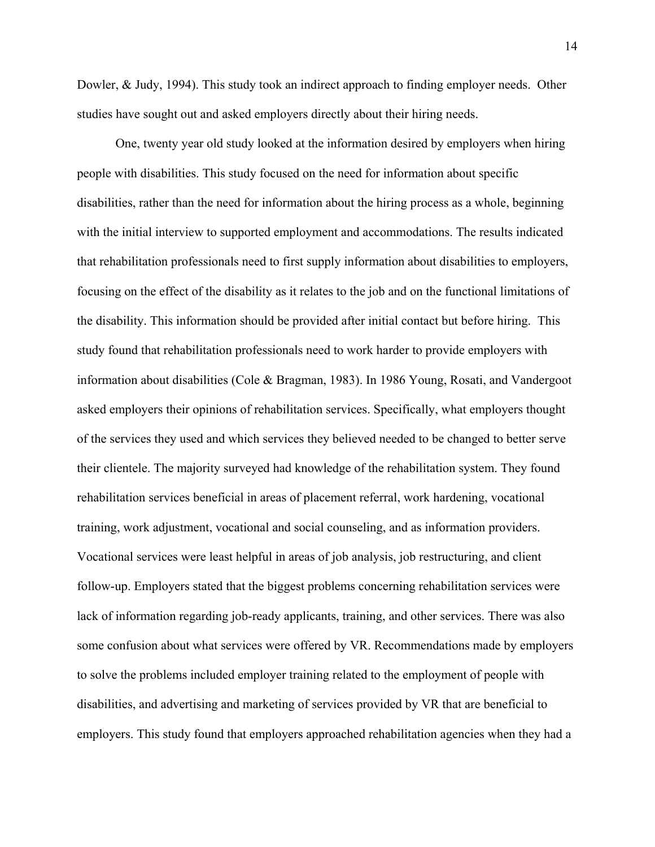Dowler, & Judy, 1994). This study took an indirect approach to finding employer needs. Other studies have sought out and asked employers directly about their hiring needs.

One, twenty year old study looked at the information desired by employers when hiring people with disabilities. This study focused on the need for information about specific disabilities, rather than the need for information about the hiring process as a whole, beginning with the initial interview to supported employment and accommodations. The results indicated that rehabilitation professionals need to first supply information about disabilities to employers, focusing on the effect of the disability as it relates to the job and on the functional limitations of the disability. This information should be provided after initial contact but before hiring. This study found that rehabilitation professionals need to work harder to provide employers with information about disabilities (Cole & Bragman, 1983). In 1986 Young, Rosati, and Vandergoot asked employers their opinions of rehabilitation services. Specifically, what employers thought of the services they used and which services they believed needed to be changed to better serve their clientele. The majority surveyed had knowledge of the rehabilitation system. They found rehabilitation services beneficial in areas of placement referral, work hardening, vocational training, work adjustment, vocational and social counseling, and as information providers. Vocational services were least helpful in areas of job analysis, job restructuring, and client follow-up. Employers stated that the biggest problems concerning rehabilitation services were lack of information regarding job-ready applicants, training, and other services. There was also some confusion about what services were offered by VR. Recommendations made by employers to solve the problems included employer training related to the employment of people with disabilities, and advertising and marketing of services provided by VR that are beneficial to employers. This study found that employers approached rehabilitation agencies when they had a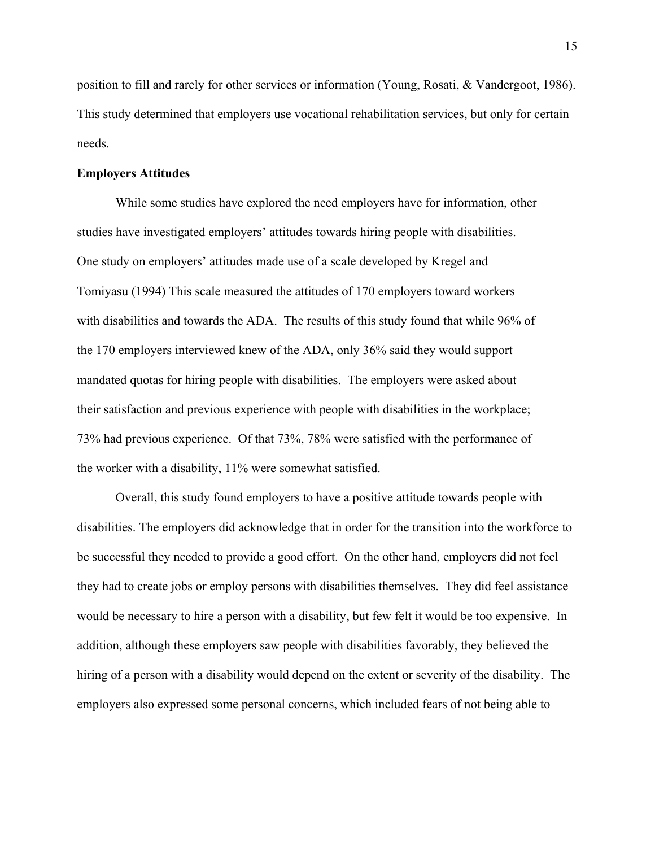position to fill and rarely for other services or information (Young, Rosati, & Vandergoot, 1986). This study determined that employers use vocational rehabilitation services, but only for certain needs.

### **Employers Attitudes**

While some studies have explored the need employers have for information, other studies have investigated employers' attitudes towards hiring people with disabilities. One study on employers' attitudes made use of a scale developed by Kregel and Tomiyasu (1994) This scale measured the attitudes of 170 employers toward workers with disabilities and towards the ADA. The results of this study found that while 96% of the 170 employers interviewed knew of the ADA, only 36% said they would support mandated quotas for hiring people with disabilities. The employers were asked about their satisfaction and previous experience with people with disabilities in the workplace; 73% had previous experience. Of that 73%, 78% were satisfied with the performance of the worker with a disability, 11% were somewhat satisfied.

Overall, this study found employers to have a positive attitude towards people with disabilities. The employers did acknowledge that in order for the transition into the workforce to be successful they needed to provide a good effort. On the other hand, employers did not feel they had to create jobs or employ persons with disabilities themselves. They did feel assistance would be necessary to hire a person with a disability, but few felt it would be too expensive. In addition, although these employers saw people with disabilities favorably, they believed the hiring of a person with a disability would depend on the extent or severity of the disability. The employers also expressed some personal concerns, which included fears of not being able to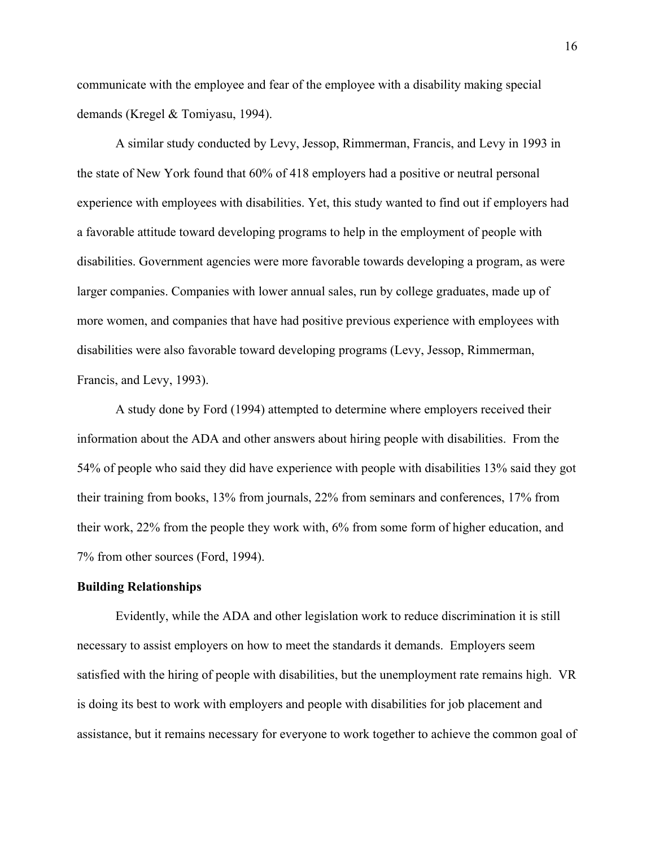communicate with the employee and fear of the employee with a disability making special demands (Kregel & Tomiyasu, 1994).

A similar study conducted by Levy, Jessop, Rimmerman, Francis, and Levy in 1993 in the state of New York found that 60% of 418 employers had a positive or neutral personal experience with employees with disabilities. Yet, this study wanted to find out if employers had a favorable attitude toward developing programs to help in the employment of people with disabilities. Government agencies were more favorable towards developing a program, as were larger companies. Companies with lower annual sales, run by college graduates, made up of more women, and companies that have had positive previous experience with employees with disabilities were also favorable toward developing programs (Levy, Jessop, Rimmerman, Francis, and Levy, 1993).

A study done by Ford (1994) attempted to determine where employers received their information about the ADA and other answers about hiring people with disabilities. From the 54% of people who said they did have experience with people with disabilities 13% said they got their training from books, 13% from journals, 22% from seminars and conferences, 17% from their work, 22% from the people they work with, 6% from some form of higher education, and 7% from other sources (Ford, 1994).

#### **Building Relationships**

Evidently, while the ADA and other legislation work to reduce discrimination it is still necessary to assist employers on how to meet the standards it demands. Employers seem satisfied with the hiring of people with disabilities, but the unemployment rate remains high. VR is doing its best to work with employers and people with disabilities for job placement and assistance, but it remains necessary for everyone to work together to achieve the common goal of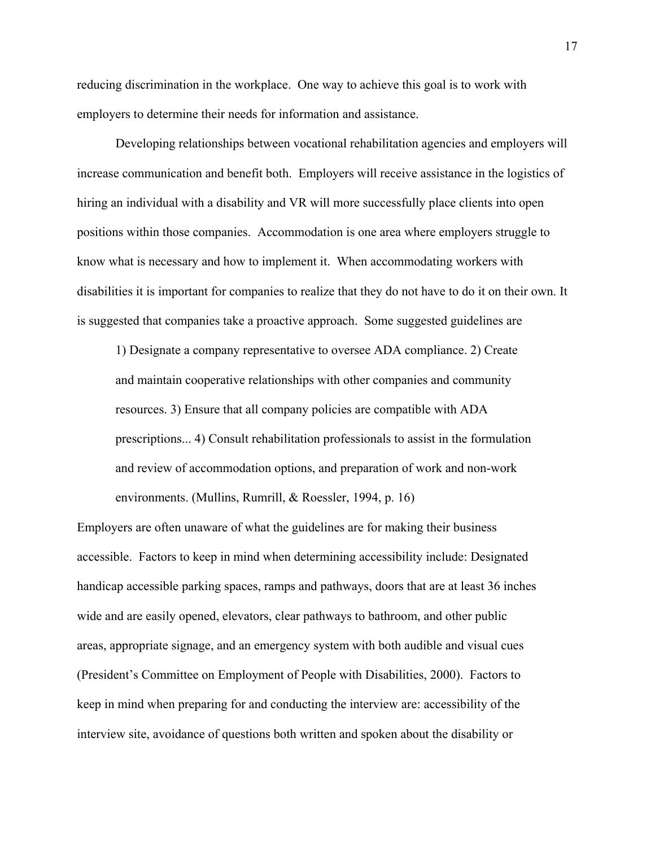reducing discrimination in the workplace. One way to achieve this goal is to work with employers to determine their needs for information and assistance.

Developing relationships between vocational rehabilitation agencies and employers will increase communication and benefit both. Employers will receive assistance in the logistics of hiring an individual with a disability and VR will more successfully place clients into open positions within those companies. Accommodation is one area where employers struggle to know what is necessary and how to implement it. When accommodating workers with disabilities it is important for companies to realize that they do not have to do it on their own. It is suggested that companies take a proactive approach. Some suggested guidelines are

1) Designate a company representative to oversee ADA compliance. 2) Create and maintain cooperative relationships with other companies and community resources. 3) Ensure that all company policies are compatible with ADA prescriptions... 4) Consult rehabilitation professionals to assist in the formulation and review of accommodation options, and preparation of work and non-work environments. (Mullins, Rumrill, & Roessler, 1994, p. 16)

Employers are often unaware of what the guidelines are for making their business accessible. Factors to keep in mind when determining accessibility include: Designated handicap accessible parking spaces, ramps and pathways, doors that are at least 36 inches wide and are easily opened, elevators, clear pathways to bathroom, and other public areas, appropriate signage, and an emergency system with both audible and visual cues (President's Committee on Employment of People with Disabilities, 2000). Factors to keep in mind when preparing for and conducting the interview are: accessibility of the interview site, avoidance of questions both written and spoken about the disability or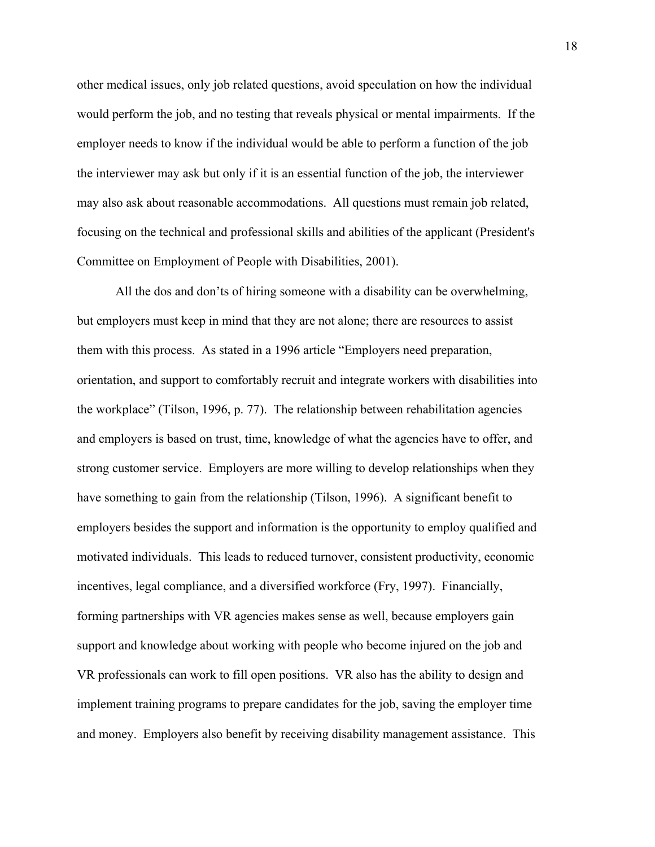other medical issues, only job related questions, avoid speculation on how the individual would perform the job, and no testing that reveals physical or mental impairments. If the employer needs to know if the individual would be able to perform a function of the job the interviewer may ask but only if it is an essential function of the job, the interviewer may also ask about reasonable accommodations. All questions must remain job related, focusing on the technical and professional skills and abilities of the applicant (President's Committee on Employment of People with Disabilities, 2001).

All the dos and don'ts of hiring someone with a disability can be overwhelming, but employers must keep in mind that they are not alone; there are resources to assist them with this process. As stated in a 1996 article "Employers need preparation, orientation, and support to comfortably recruit and integrate workers with disabilities into the workplace" (Tilson, 1996, p. 77). The relationship between rehabilitation agencies and employers is based on trust, time, knowledge of what the agencies have to offer, and strong customer service. Employers are more willing to develop relationships when they have something to gain from the relationship (Tilson, 1996). A significant benefit to employers besides the support and information is the opportunity to employ qualified and motivated individuals. This leads to reduced turnover, consistent productivity, economic incentives, legal compliance, and a diversified workforce (Fry, 1997). Financially, forming partnerships with VR agencies makes sense as well, because employers gain support and knowledge about working with people who become injured on the job and VR professionals can work to fill open positions. VR also has the ability to design and implement training programs to prepare candidates for the job, saving the employer time and money. Employers also benefit by receiving disability management assistance. This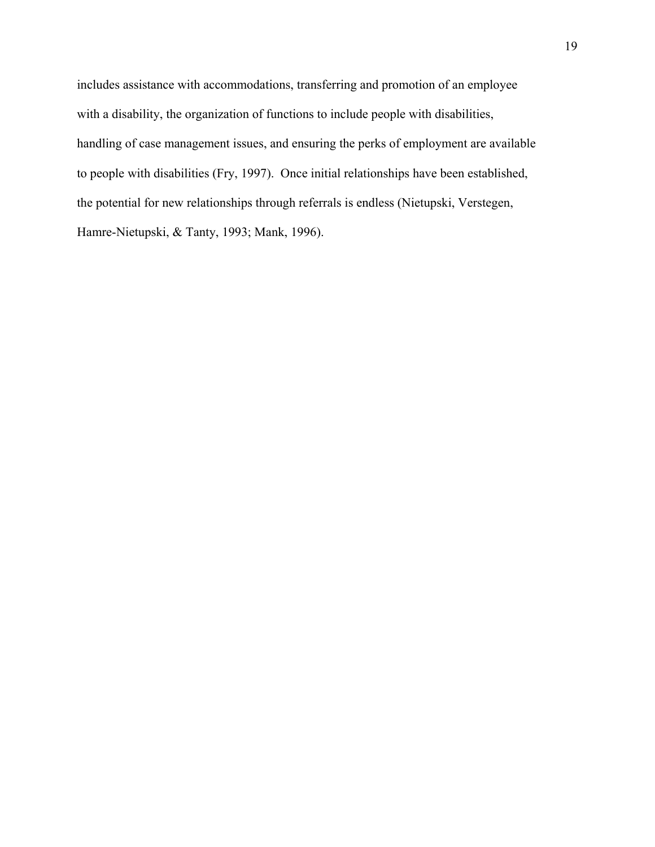includes assistance with accommodations, transferring and promotion of an employee with a disability, the organization of functions to include people with disabilities, handling of case management issues, and ensuring the perks of employment are available to people with disabilities (Fry, 1997). Once initial relationships have been established, the potential for new relationships through referrals is endless (Nietupski, Verstegen, Hamre-Nietupski, & Tanty, 1993; Mank, 1996).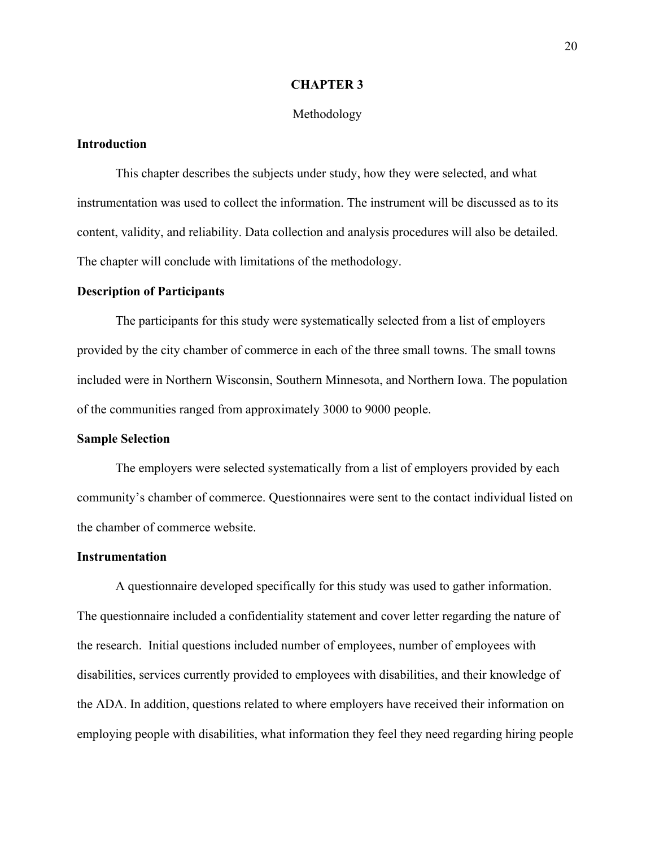#### **CHAPTER 3**

#### Methodology

# **Introduction**

This chapter describes the subjects under study, how they were selected, and what instrumentation was used to collect the information. The instrument will be discussed as to its content, validity, and reliability. Data collection and analysis procedures will also be detailed. The chapter will conclude with limitations of the methodology.

#### **Description of Participants**

The participants for this study were systematically selected from a list of employers provided by the city chamber of commerce in each of the three small towns. The small towns included were in Northern Wisconsin, Southern Minnesota, and Northern Iowa. The population of the communities ranged from approximately 3000 to 9000 people.

#### **Sample Selection**

The employers were selected systematically from a list of employers provided by each community's chamber of commerce. Questionnaires were sent to the contact individual listed on the chamber of commerce website.

#### **Instrumentation**

A questionnaire developed specifically for this study was used to gather information. The questionnaire included a confidentiality statement and cover letter regarding the nature of the research. Initial questions included number of employees, number of employees with disabilities, services currently provided to employees with disabilities, and their knowledge of the ADA. In addition, questions related to where employers have received their information on employing people with disabilities, what information they feel they need regarding hiring people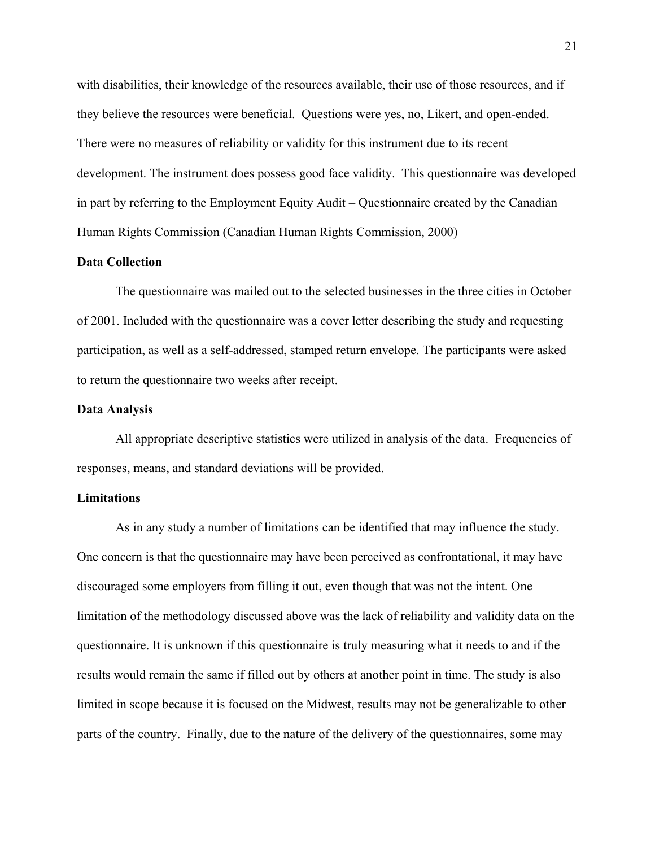with disabilities, their knowledge of the resources available, their use of those resources, and if they believe the resources were beneficial. Questions were yes, no, Likert, and open-ended. There were no measures of reliability or validity for this instrument due to its recent development. The instrument does possess good face validity. This questionnaire was developed in part by referring to the Employment Equity Audit – Questionnaire created by the Canadian Human Rights Commission (Canadian Human Rights Commission, 2000)

# **Data Collection**

The questionnaire was mailed out to the selected businesses in the three cities in October of 2001. Included with the questionnaire was a cover letter describing the study and requesting participation, as well as a self-addressed, stamped return envelope. The participants were asked to return the questionnaire two weeks after receipt.

#### **Data Analysis**

All appropriate descriptive statistics were utilized in analysis of the data. Frequencies of responses, means, and standard deviations will be provided.

#### **Limitations**

As in any study a number of limitations can be identified that may influence the study. One concern is that the questionnaire may have been perceived as confrontational, it may have discouraged some employers from filling it out, even though that was not the intent. One limitation of the methodology discussed above was the lack of reliability and validity data on the questionnaire. It is unknown if this questionnaire is truly measuring what it needs to and if the results would remain the same if filled out by others at another point in time. The study is also limited in scope because it is focused on the Midwest, results may not be generalizable to other parts of the country. Finally, due to the nature of the delivery of the questionnaires, some may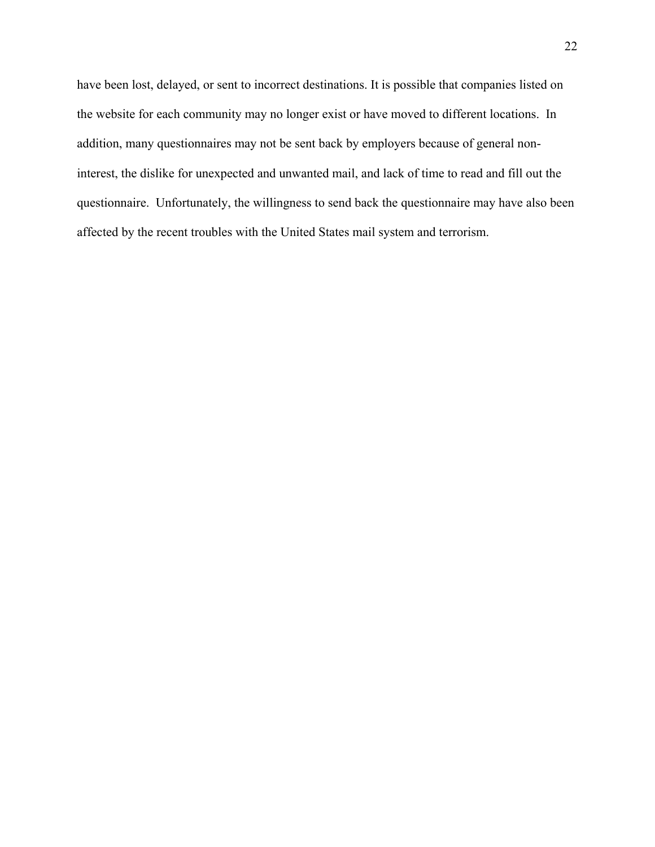have been lost, delayed, or sent to incorrect destinations. It is possible that companies listed on the website for each community may no longer exist or have moved to different locations. In addition, many questionnaires may not be sent back by employers because of general noninterest, the dislike for unexpected and unwanted mail, and lack of time to read and fill out the questionnaire. Unfortunately, the willingness to send back the questionnaire may have also been affected by the recent troubles with the United States mail system and terrorism.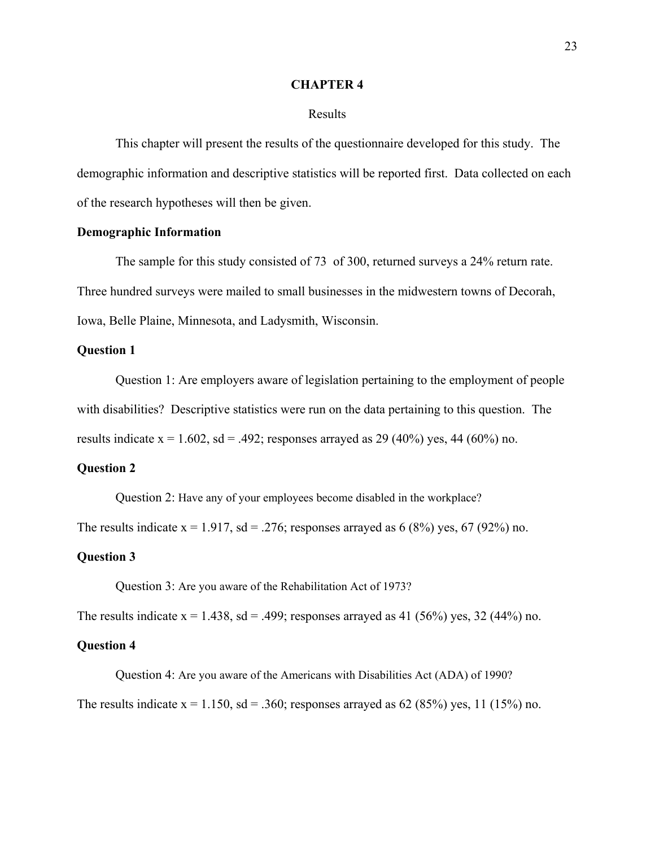#### **CHAPTER 4**

#### Results

This chapter will present the results of the questionnaire developed for this study. The demographic information and descriptive statistics will be reported first. Data collected on each of the research hypotheses will then be given.

## **Demographic Information**

The sample for this study consisted of 73 of 300, returned surveys a 24% return rate. Three hundred surveys were mailed to small businesses in the midwestern towns of Decorah, Iowa, Belle Plaine, Minnesota, and Ladysmith, Wisconsin.

## **Question 1**

Question 1: Are employers aware of legislation pertaining to the employment of people with disabilities? Descriptive statistics were run on the data pertaining to this question. The results indicate  $x = 1.602$ ,  $sd = .492$ ; responses arrayed as 29 (40%) yes, 44 (60%) no.

#### **Question 2**

Question 2: Have any of your employees become disabled in the workplace?

The results indicate  $x = 1.917$ ,  $sd = 0.276$ ; responses arrayed as 6 (8%) yes, 67 (92%) no.

#### **Question 3**

Question 3: Are you aware of the Rehabilitation Act of 1973?

The results indicate  $x = 1.438$ ,  $sd = .499$ ; responses arrayed as 41 (56%) yes, 32 (44%) no.

#### **Question 4**

 Question 4: Are you aware of the Americans with Disabilities Act (ADA) of 1990? The results indicate  $x = 1.150$ ,  $sd = .360$ ; responses arrayed as 62 (85%) yes, 11 (15%) no.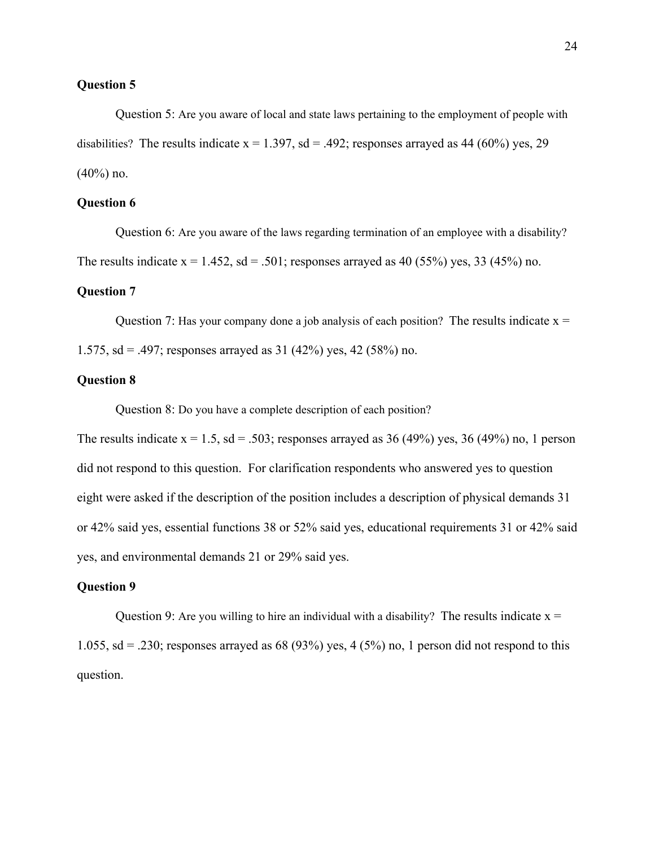Question 5: Are you aware of local and state laws pertaining to the employment of people with disabilities? The results indicate  $x = 1.397$ , sd = .492; responses arrayed as 44 (60%) yes, 29  $(40\%)$  no.

# **Question 6**

 Question 6: Are you aware of the laws regarding termination of an employee with a disability? The results indicate  $x = 1.452$ ,  $sd = .501$ ; responses arrayed as 40 (55%) yes, 33 (45%) no.

#### **Question 7**

Question 7: Has your company done a job analysis of each position? The results indicate  $x =$ 1.575, sd = .497; responses arrayed as  $31$  (42%) yes, 42 (58%) no.

#### **Question 8**

Question 8: Do you have a complete description of each position?

The results indicate  $x = 1.5$ ,  $sd = 0.503$ ; responses arrayed as 36 (49%) yes, 36 (49%) no, 1 person did not respond to this question. For clarification respondents who answered yes to question eight were asked if the description of the position includes a description of physical demands 31 or 42% said yes, essential functions 38 or 52% said yes, educational requirements 31 or 42% said yes, and environmental demands 21 or 29% said yes.

#### **Question 9**

Question 9: Are you willing to hire an individual with a disability? The results indicate  $x =$ 1.055, sd = .230; responses arrayed as 68 (93%) yes, 4 (5%) no, 1 person did not respond to this question.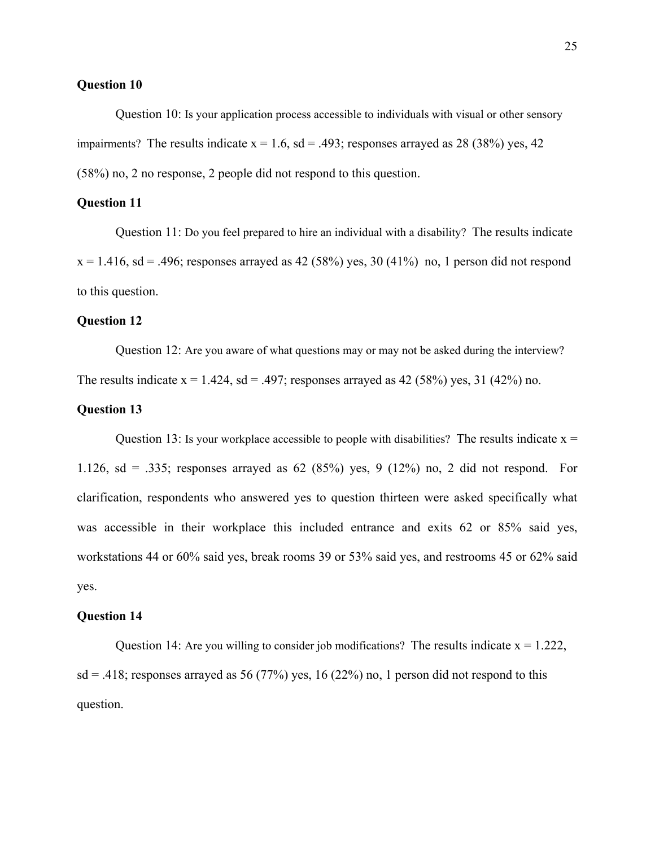Question 10: Is your application process accessible to individuals with visual or other sensory impairments? The results indicate  $x = 1.6$ ,  $sd = .493$ ; responses arrayed as 28 (38%) yes, 42 (58%) no, 2 no response, 2 people did not respond to this question.

#### **Question 11**

 Question 11: Do you feel prepared to hire an individual with a disability? The results indicate  $x = 1.416$ , sd = .496; responses arrayed as 42 (58%) yes, 30 (41%) no, 1 person did not respond to this question.

#### **Question 12**

Question 12: Are you aware of what questions may or may not be asked during the interview?

The results indicate  $x = 1.424$ ,  $sd = .497$ ; responses arrayed as 42 (58%) yes, 31 (42%) no.

#### **Question 13**

Question 13: Is your workplace accessible to people with disabilities? The results indicate  $x =$ 1.126, sd = .335; responses arrayed as 62 (85%) yes, 9 (12%) no, 2 did not respond. For clarification, respondents who answered yes to question thirteen were asked specifically what was accessible in their workplace this included entrance and exits 62 or 85% said yes, workstations 44 or 60% said yes, break rooms 39 or 53% said yes, and restrooms 45 or 62% said yes.

#### **Question 14**

Question 14: Are you willing to consider job modifications? The results indicate  $x = 1.222$ ,  $sd = .418$ ; responses arrayed as 56 (77%) yes, 16 (22%) no, 1 person did not respond to this question.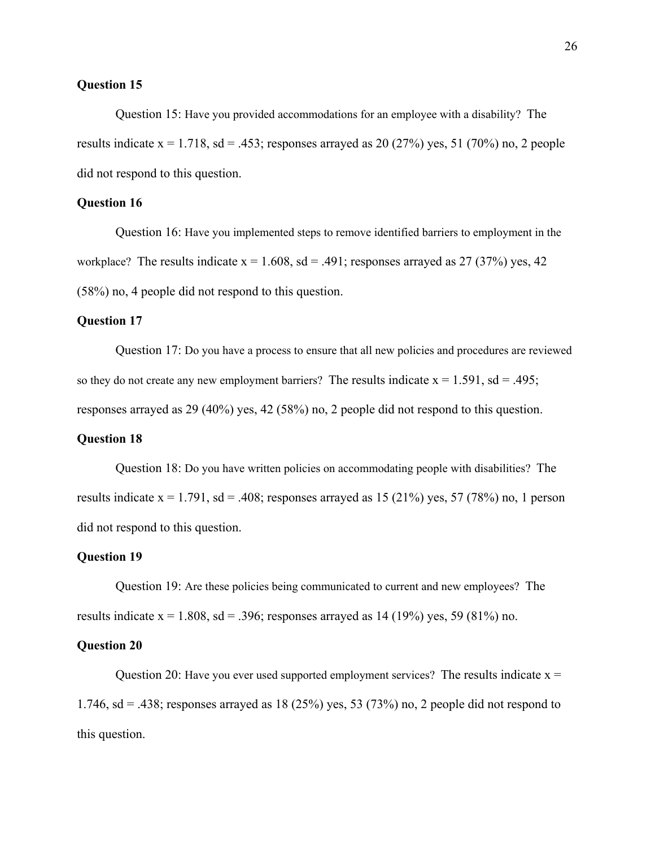Question 15: Have you provided accommodations for an employee with a disability? The results indicate  $x = 1.718$ ,  $sd = 0.453$ ; responses arrayed as 20 (27%) yes, 51 (70%) no, 2 people did not respond to this question.

## **Question 16**

 Question 16: Have you implemented steps to remove identified barriers to employment in the workplace? The results indicate  $x = 1.608$ ,  $sd = .491$ ; responses arrayed as 27 (37%) yes, 42 (58%) no, 4 people did not respond to this question.

#### **Question 17**

 Question 17: Do you have a process to ensure that all new policies and procedures are reviewed so they do not create any new employment barriers? The results indicate  $x = 1.591$ , sd = .495; responses arrayed as 29 (40%) yes, 42 (58%) no, 2 people did not respond to this question.

#### **Question 18**

 Question 18: Do you have written policies on accommodating people with disabilities? The results indicate  $x = 1.791$ , sd = .408; responses arrayed as 15 (21%) yes, 57 (78%) no, 1 person did not respond to this question.

#### **Question 19**

 Question 19: Are these policies being communicated to current and new employees? The results indicate  $x = 1.808$ , sd = .396; responses arrayed as 14 (19%) yes, 59 (81%) no.

#### **Question 20**

Question 20: Have you ever used supported employment services? The results indicate  $x =$ 1.746, sd = .438; responses arrayed as 18 (25%) yes, 53 (73%) no, 2 people did not respond to this question.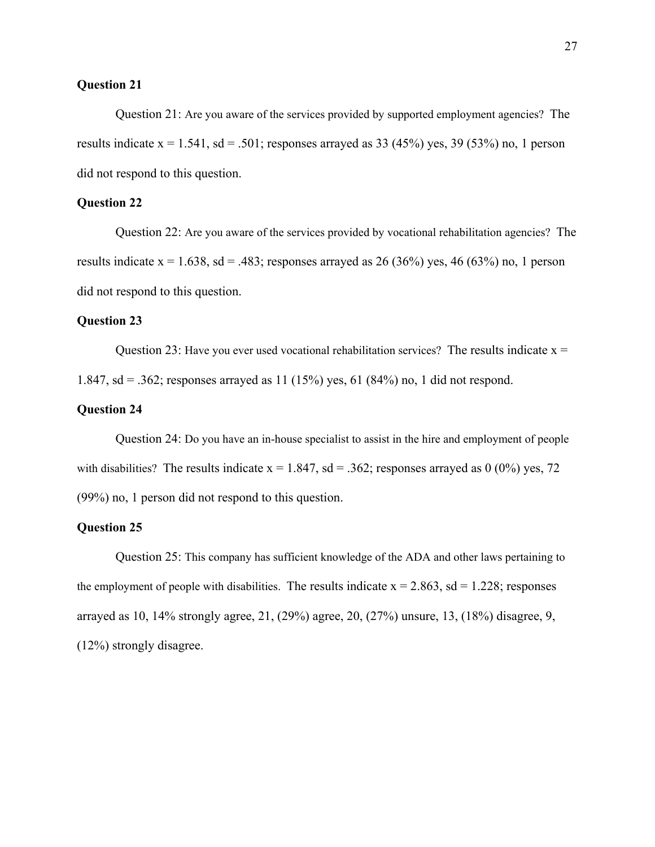Question 21: Are you aware of the services provided by supported employment agencies? The results indicate  $x = 1.541$ ,  $sd = .501$ ; responses arrayed as 33 (45%) yes, 39 (53%) no, 1 person did not respond to this question.

#### **Question 22**

 Question 22: Are you aware of the services provided by vocational rehabilitation agencies? The results indicate  $x = 1.638$ , sd = .483; responses arrayed as 26 (36%) yes, 46 (63%) no, 1 person did not respond to this question.

#### **Question 23**

Question 23: Have you ever used vocational rehabilitation services? The results indicate  $x =$ 1.847, sd = .362; responses arrayed as 11 (15%) yes, 61 (84%) no, 1 did not respond.

# **Question 24**

 Question 24: Do you have an in-house specialist to assist in the hire and employment of people with disabilities? The results indicate  $x = 1.847$ ,  $sd = .362$ ; responses arrayed as 0 (0%) yes, 72 (99%) no, 1 person did not respond to this question.

#### **Question 25**

 Question 25: This company has sufficient knowledge of the ADA and other laws pertaining to the employment of people with disabilities. The results indicate  $x = 2.863$ , sd = 1.228; responses arrayed as 10, 14% strongly agree, 21, (29%) agree, 20, (27%) unsure, 13, (18%) disagree, 9, (12%) strongly disagree.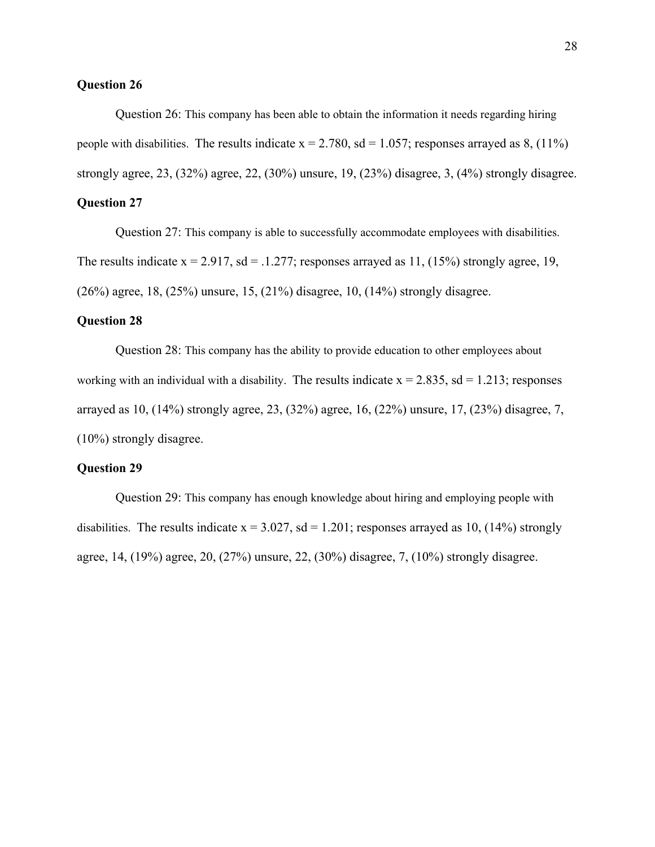Question 26: This company has been able to obtain the information it needs regarding hiring people with disabilities. The results indicate  $x = 2.780$ ,  $sd = 1.057$ ; responses arrayed as 8, (11%) strongly agree, 23, (32%) agree, 22, (30%) unsure, 19, (23%) disagree, 3, (4%) strongly disagree.

# **Question 27**

 Question 27: This company is able to successfully accommodate employees with disabilities. The results indicate  $x = 2.917$ , sd = .1.277; responses arrayed as 11, (15%) strongly agree, 19, (26%) agree, 18, (25%) unsure, 15, (21%) disagree, 10, (14%) strongly disagree.

#### **Question 28**

 Question 28: This company has the ability to provide education to other employees about working with an individual with a disability. The results indicate  $x = 2.835$ , sd = 1.213; responses arrayed as 10, (14%) strongly agree, 23, (32%) agree, 16, (22%) unsure, 17, (23%) disagree, 7, (10%) strongly disagree.

### **Question 29**

 Question 29: This company has enough knowledge about hiring and employing people with disabilities. The results indicate  $x = 3.027$ ,  $sd = 1.201$ ; responses arrayed as 10, (14%) strongly agree, 14, (19%) agree, 20, (27%) unsure, 22, (30%) disagree, 7, (10%) strongly disagree.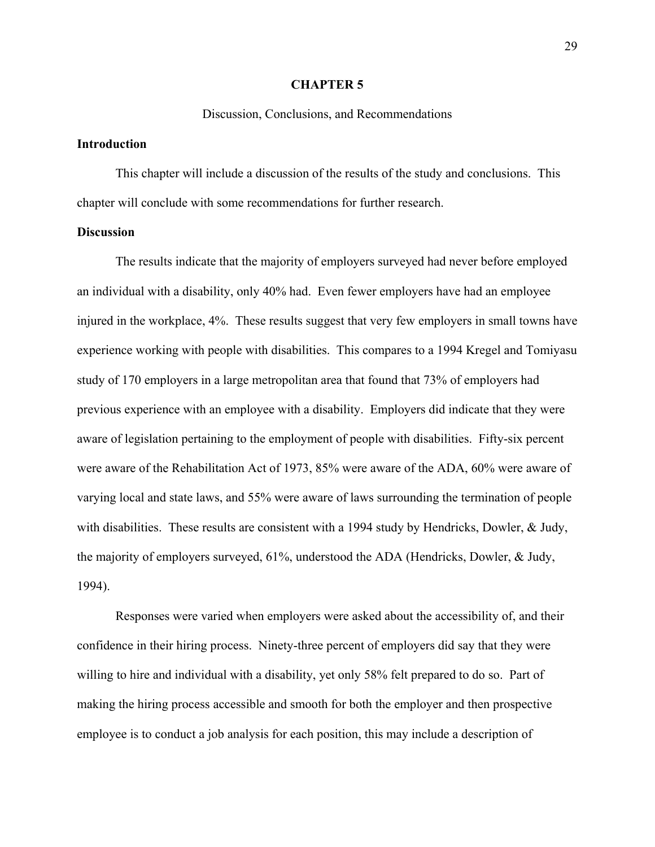#### **CHAPTER 5**

#### Discussion, Conclusions, and Recommendations

## **Introduction**

This chapter will include a discussion of the results of the study and conclusions. This chapter will conclude with some recommendations for further research.

#### **Discussion**

The results indicate that the majority of employers surveyed had never before employed an individual with a disability, only 40% had. Even fewer employers have had an employee injured in the workplace, 4%. These results suggest that very few employers in small towns have experience working with people with disabilities. This compares to a 1994 Kregel and Tomiyasu study of 170 employers in a large metropolitan area that found that 73% of employers had previous experience with an employee with a disability. Employers did indicate that they were aware of legislation pertaining to the employment of people with disabilities. Fifty-six percent were aware of the Rehabilitation Act of 1973, 85% were aware of the ADA, 60% were aware of varying local and state laws, and 55% were aware of laws surrounding the termination of people with disabilities. These results are consistent with a 1994 study by Hendricks, Dowler, & Judy, the majority of employers surveyed, 61%, understood the ADA (Hendricks, Dowler, & Judy, 1994).

Responses were varied when employers were asked about the accessibility of, and their confidence in their hiring process. Ninety-three percent of employers did say that they were willing to hire and individual with a disability, yet only 58% felt prepared to do so. Part of making the hiring process accessible and smooth for both the employer and then prospective employee is to conduct a job analysis for each position, this may include a description of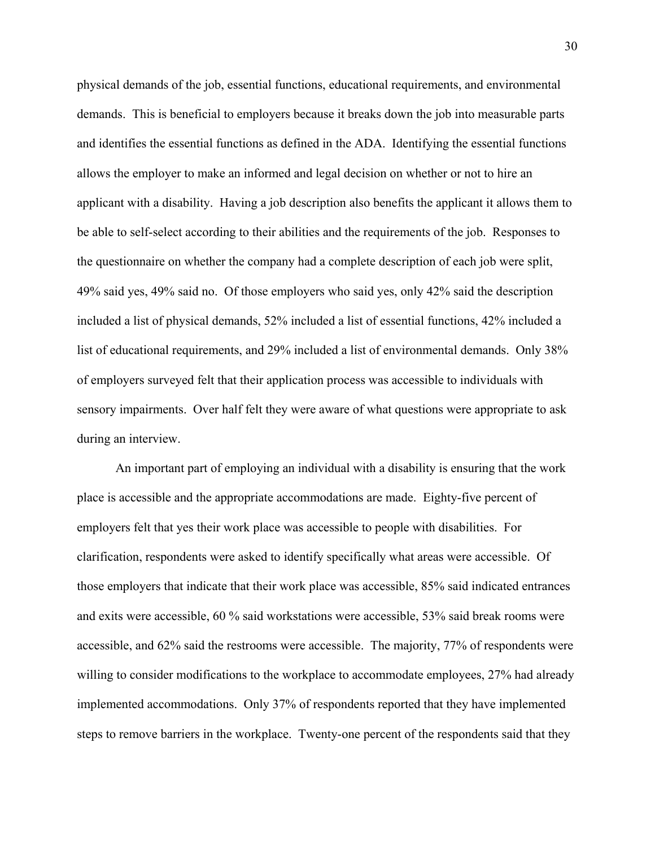physical demands of the job, essential functions, educational requirements, and environmental demands. This is beneficial to employers because it breaks down the job into measurable parts and identifies the essential functions as defined in the ADA. Identifying the essential functions allows the employer to make an informed and legal decision on whether or not to hire an applicant with a disability. Having a job description also benefits the applicant it allows them to be able to self-select according to their abilities and the requirements of the job. Responses to the questionnaire on whether the company had a complete description of each job were split, 49% said yes, 49% said no. Of those employers who said yes, only 42% said the description included a list of physical demands, 52% included a list of essential functions, 42% included a list of educational requirements, and 29% included a list of environmental demands. Only 38% of employers surveyed felt that their application process was accessible to individuals with sensory impairments. Over half felt they were aware of what questions were appropriate to ask during an interview.

An important part of employing an individual with a disability is ensuring that the work place is accessible and the appropriate accommodations are made. Eighty-five percent of employers felt that yes their work place was accessible to people with disabilities. For clarification, respondents were asked to identify specifically what areas were accessible. Of those employers that indicate that their work place was accessible, 85% said indicated entrances and exits were accessible, 60 % said workstations were accessible, 53% said break rooms were accessible, and 62% said the restrooms were accessible. The majority, 77% of respondents were willing to consider modifications to the workplace to accommodate employees, 27% had already implemented accommodations. Only 37% of respondents reported that they have implemented steps to remove barriers in the workplace. Twenty-one percent of the respondents said that they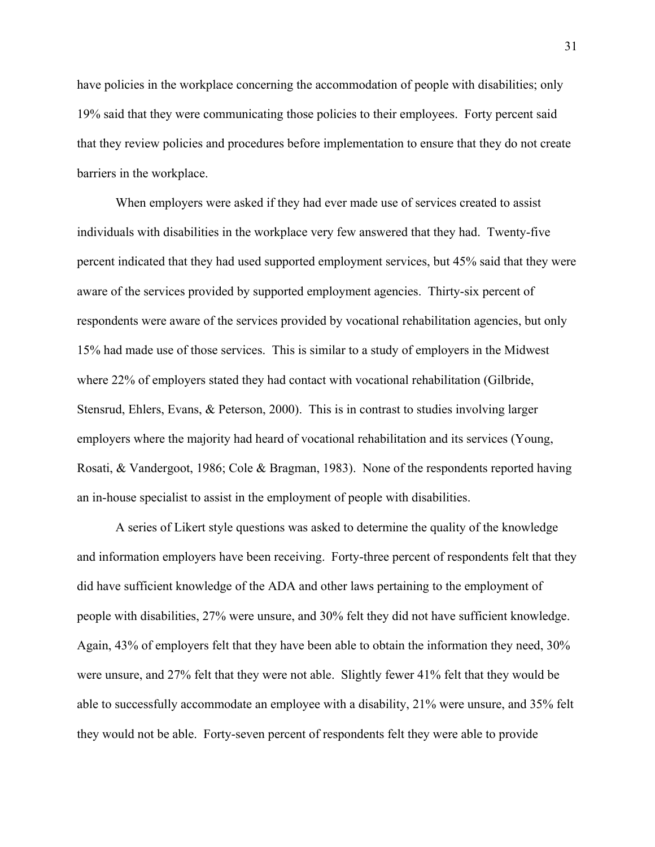have policies in the workplace concerning the accommodation of people with disabilities; only 19% said that they were communicating those policies to their employees. Forty percent said that they review policies and procedures before implementation to ensure that they do not create barriers in the workplace.

When employers were asked if they had ever made use of services created to assist individuals with disabilities in the workplace very few answered that they had. Twenty-five percent indicated that they had used supported employment services, but 45% said that they were aware of the services provided by supported employment agencies. Thirty-six percent of respondents were aware of the services provided by vocational rehabilitation agencies, but only 15% had made use of those services. This is similar to a study of employers in the Midwest where 22% of employers stated they had contact with vocational rehabilitation (Gilbride, Stensrud, Ehlers, Evans, & Peterson, 2000). This is in contrast to studies involving larger employers where the majority had heard of vocational rehabilitation and its services (Young, Rosati, & Vandergoot, 1986; Cole & Bragman, 1983). None of the respondents reported having an in-house specialist to assist in the employment of people with disabilities.

A series of Likert style questions was asked to determine the quality of the knowledge and information employers have been receiving. Forty-three percent of respondents felt that they did have sufficient knowledge of the ADA and other laws pertaining to the employment of people with disabilities, 27% were unsure, and 30% felt they did not have sufficient knowledge. Again, 43% of employers felt that they have been able to obtain the information they need, 30% were unsure, and 27% felt that they were not able. Slightly fewer 41% felt that they would be able to successfully accommodate an employee with a disability, 21% were unsure, and 35% felt they would not be able. Forty-seven percent of respondents felt they were able to provide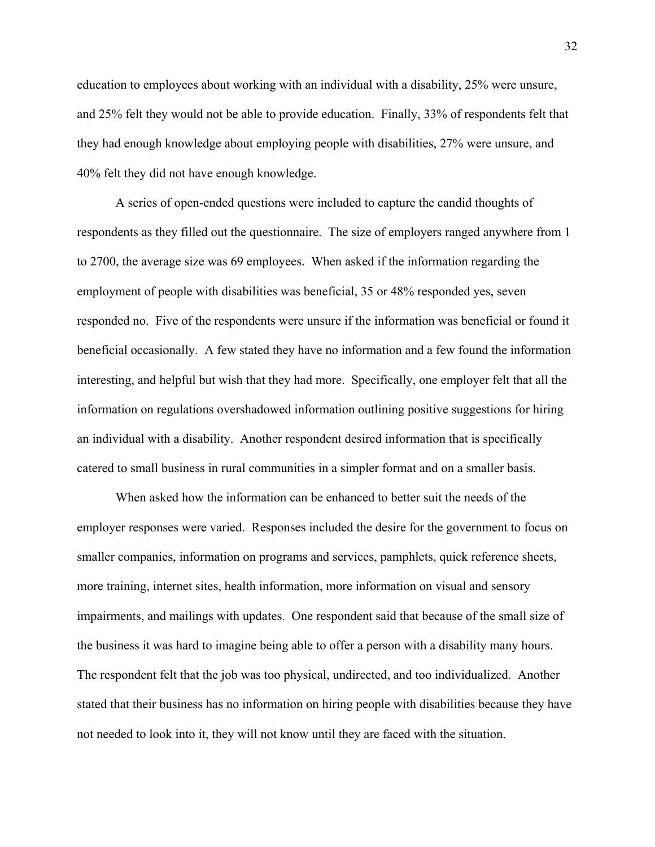education to employees about working with an individual with a disability, 25% were unsure, and 25% felt they would not be able to provide education. Finally, 33% of respondents felt that they had enough knowledge about employing people with disabilities, 27% were unsure, and 40% felt they did not have enough knowledge.

A series of open-ended questions were included to capture the candid thoughts of respondents as they filled out the questionnaire. The size of employers ranged anywhere from 1 to 2700, the average size was 69 employees. When asked if the information regarding the employment of people with disabilities was beneficial, 35 or 48% responded yes, seven responded no. Five of the respondents were unsure if the information was beneficial or found it beneficial occasionally. A few stated they have no information and a few found the information interesting, and helpful but wish that they had more. Specifically, one employer felt that all the information on regulations overshadowed information outlining positive suggestions for hiring an individual with a disability. Another respondent desired information that is specifically catered to small business in rural communities in a simpler format and on a smaller basis.

When asked how the information can be enhanced to better suit the needs of the employer responses were varied. Responses included the desire for the government to focus on smaller companies, information on programs and services, pamphlets, quick reference sheets, more training, internet sites, health information, more information on visual and sensory impairments, and mailings with updates. One respondent said that because of the small size of the business it was hard to imagine being able to offer a person with a disability many hours. The respondent felt that the job was too physical, undirected, and too individualized. Another stated that their business has no information on hiring people with disabilities because they have not needed to look into it, they will not know until they are faced with the situation.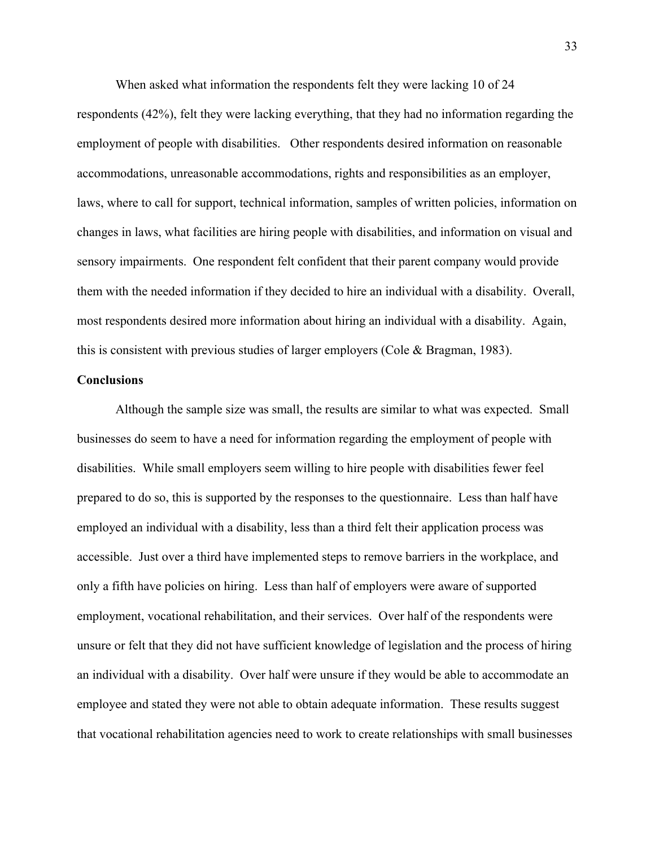When asked what information the respondents felt they were lacking 10 of 24 respondents (42%), felt they were lacking everything, that they had no information regarding the employment of people with disabilities. Other respondents desired information on reasonable accommodations, unreasonable accommodations, rights and responsibilities as an employer, laws, where to call for support, technical information, samples of written policies, information on changes in laws, what facilities are hiring people with disabilities, and information on visual and sensory impairments. One respondent felt confident that their parent company would provide them with the needed information if they decided to hire an individual with a disability. Overall, most respondents desired more information about hiring an individual with a disability. Again, this is consistent with previous studies of larger employers (Cole & Bragman, 1983).

#### **Conclusions**

Although the sample size was small, the results are similar to what was expected. Small businesses do seem to have a need for information regarding the employment of people with disabilities. While small employers seem willing to hire people with disabilities fewer feel prepared to do so, this is supported by the responses to the questionnaire. Less than half have employed an individual with a disability, less than a third felt their application process was accessible. Just over a third have implemented steps to remove barriers in the workplace, and only a fifth have policies on hiring. Less than half of employers were aware of supported employment, vocational rehabilitation, and their services. Over half of the respondents were unsure or felt that they did not have sufficient knowledge of legislation and the process of hiring an individual with a disability. Over half were unsure if they would be able to accommodate an employee and stated they were not able to obtain adequate information. These results suggest that vocational rehabilitation agencies need to work to create relationships with small businesses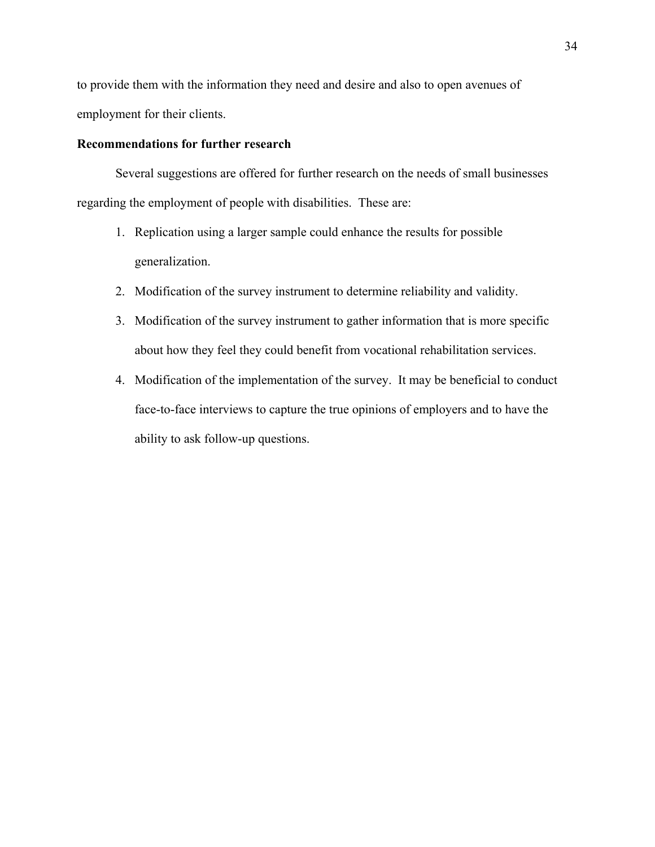to provide them with the information they need and desire and also to open avenues of employment for their clients.

# **Recommendations for further research**

Several suggestions are offered for further research on the needs of small businesses regarding the employment of people with disabilities. These are:

- 1. Replication using a larger sample could enhance the results for possible generalization.
- 2. Modification of the survey instrument to determine reliability and validity.
- 3. Modification of the survey instrument to gather information that is more specific about how they feel they could benefit from vocational rehabilitation services.
- 4. Modification of the implementation of the survey. It may be beneficial to conduct face-to-face interviews to capture the true opinions of employers and to have the ability to ask follow-up questions.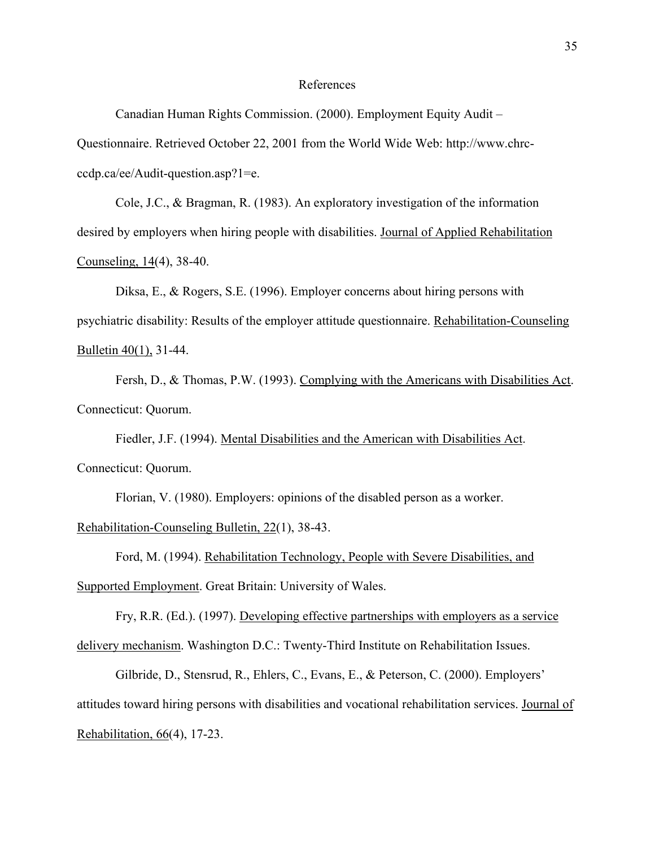#### References

Canadian Human Rights Commission. (2000). Employment Equity Audit – Questionnaire. Retrieved October 22, 2001 from the World Wide Web: http://www.chrcccdp.ca/ee/Audit-question.asp?1=e.

Cole, J.C., & Bragman, R. (1983). An exploratory investigation of the information desired by employers when hiring people with disabilities. Journal of Applied Rehabilitation Counseling, 14(4), 38-40.

Diksa, E., & Rogers, S.E. (1996). Employer concerns about hiring persons with psychiatric disability: Results of the employer attitude questionnaire. Rehabilitation-Counseling Bulletin 40(1), 31-44.

Fersh, D., & Thomas, P.W. (1993). Complying with the Americans with Disabilities Act. Connecticut: Quorum.

Fiedler, J.F. (1994). Mental Disabilities and the American with Disabilities Act. Connecticut: Quorum.

Florian, V. (1980). Employers: opinions of the disabled person as a worker.

Rehabilitation-Counseling Bulletin, 22(1), 38-43.

Ford, M. (1994). Rehabilitation Technology, People with Severe Disabilities, and Supported Employment. Great Britain: University of Wales.

Fry, R.R. (Ed.). (1997). Developing effective partnerships with employers as a service delivery mechanism. Washington D.C.: Twenty-Third Institute on Rehabilitation Issues.

Gilbride, D., Stensrud, R., Ehlers, C., Evans, E., & Peterson, C. (2000). Employers' attitudes toward hiring persons with disabilities and vocational rehabilitation services. Journal of Rehabilitation, 66(4), 17-23.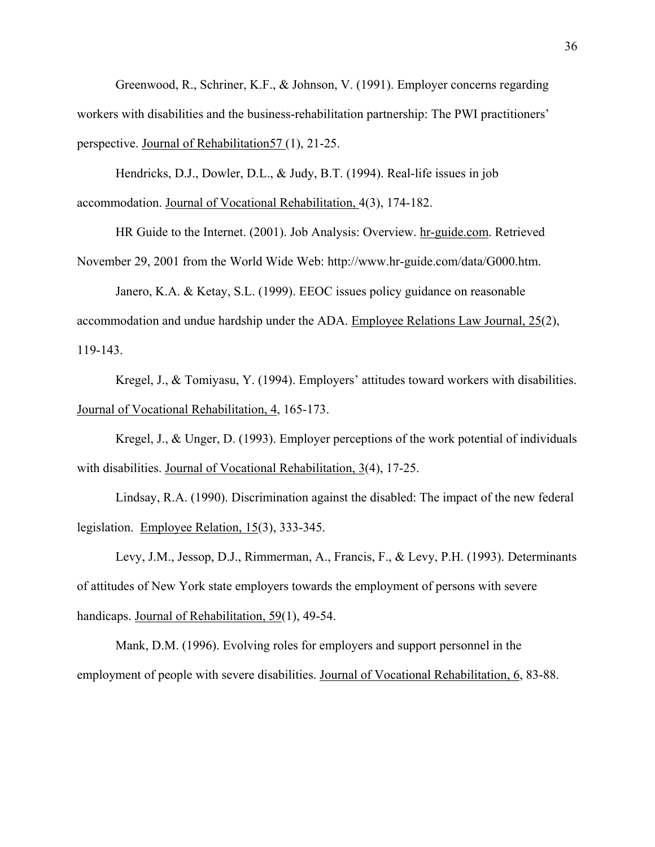Greenwood, R., Schriner, K.F., & Johnson, V. (1991). Employer concerns regarding workers with disabilities and the business-rehabilitation partnership: The PWI practitioners' perspective. Journal of Rehabilitation57 (1), 21-25.

Hendricks, D.J., Dowler, D.L., & Judy, B.T. (1994). Real-life issues in job accommodation. Journal of Vocational Rehabilitation, 4(3), 174-182.

HR Guide to the Internet. (2001). Job Analysis: Overview. hr-guide.com. Retrieved November 29, 2001 from the World Wide Web: http://www.hr-guide.com/data/G000.htm.

Janero, K.A. & Ketay, S.L. (1999). EEOC issues policy guidance on reasonable accommodation and undue hardship under the ADA. Employee Relations Law Journal, 25(2), 119-143.

Kregel, J., & Tomiyasu, Y. (1994). Employers' attitudes toward workers with disabilities. Journal of Vocational Rehabilitation, 4, 165-173.

Kregel, J., & Unger, D. (1993). Employer perceptions of the work potential of individuals with disabilities. Journal of Vocational Rehabilitation, 3(4), 17-25.

Lindsay, R.A. (1990). Discrimination against the disabled: The impact of the new federal legislation. Employee Relation, 15(3), 333-345.

Levy, J.M., Jessop, D.J., Rimmerman, A., Francis, F., & Levy, P.H. (1993). Determinants of attitudes of New York state employers towards the employment of persons with severe handicaps. Journal of Rehabilitation, 59(1), 49-54.

Mank, D.M. (1996). Evolving roles for employers and support personnel in the employment of people with severe disabilities. Journal of Vocational Rehabilitation, 6, 83-88.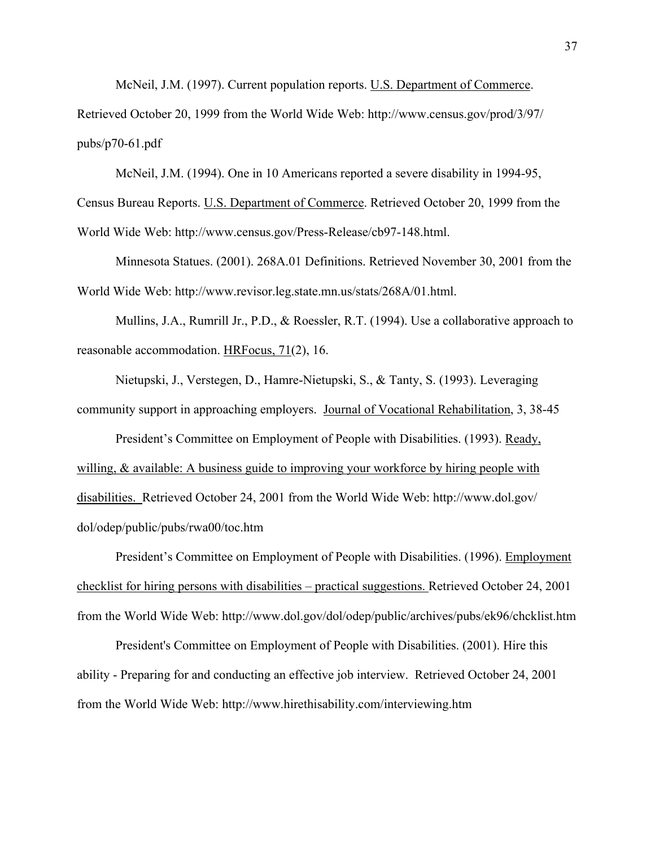McNeil, J.M. (1997). Current population reports. U.S. Department of Commerce.

Retrieved October 20, 1999 from the World Wide Web: http://www.census.gov/prod/3/97/ pubs/p70-61.pdf

McNeil, J.M. (1994). One in 10 Americans reported a severe disability in 1994-95, Census Bureau Reports. U.S. Department of Commerce. Retrieved October 20, 1999 from the

World Wide Web: [http://www.census.gov/Press-Release/cb97-148.html.](http://www.census.gov/Press-Release/cb97-148.html)

Minnesota Statues. (2001). 268A.01 Definitions. Retrieved November 30, 2001 from the World Wide Web: http://www.revisor.leg.state.mn.us/stats/268A/01.html.

Mullins, J.A., Rumrill Jr., P.D., & Roessler, R.T. (1994). Use a collaborative approach to reasonable accommodation. HRFocus, 71(2), 16.

Nietupski, J., Verstegen, D., Hamre-Nietupski, S., & Tanty, S. (1993). Leveraging community support in approaching employers. Journal of Vocational Rehabilitation, 3, 38-45

President's Committee on Employment of People with Disabilities. (1993). Ready, willing, & available: A business guide to improving your workforce by hiring people with disabilities. Retrieved October 24, 2001 from the World Wide Web: [http://www.dol.gov/](http://www.dol.gov/ dol/odep/public/pubs/rwa00/toc.htm) [dol/odep/public/pubs/rwa00/toc.htm](http://www.dol.gov/ dol/odep/public/pubs/rwa00/toc.htm)

President's Committee on Employment of People with Disabilities. (1996). Employment checklist for hiring persons with disabilities – practical suggestions. Retrieved October 24, 2001 from the World Wide Web: <http://www.dol.gov/dol/odep/public/archives/pubs/ek96/chcklist.htm>

President's Committee on Employment of People with Disabilities. (2001). Hire this ability - Preparing for and conducting an effective job interview. Retrieved October 24, 2001 from the World Wide Web: http://www.hirethisability.com/interviewing.htm